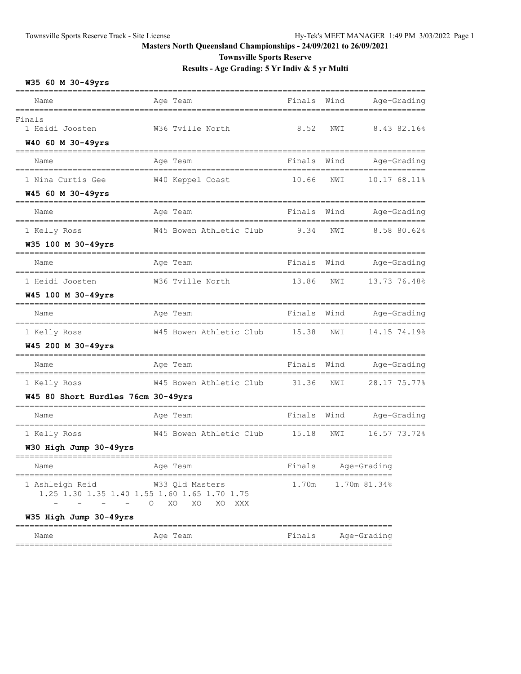**Townsville Sports Reserve**

**Results - Age Grading: 5 Yr Indiv & 5 yr Multi**

## **W35 60 M 30-49yrs**

| Name                                        | Age Team                                                                                         | Finals Wind |      |              | Age-Grading  |
|---------------------------------------------|--------------------------------------------------------------------------------------------------|-------------|------|--------------|--------------|
| Finals<br>1 Heidi Joosten                   | W36 Tville North                                                                                 | 8.52        | NWI  |              | 8.43 82.16%  |
| W40 60 M 30-49yrs                           |                                                                                                  |             |      |              |              |
| Name                                        | Age Team                                                                                         | Finals      | Wind |              | Age-Grading  |
| 1 Nina Curtis Gee                           | W40 Keppel Coast                                                                                 | 10.66       | NWI  |              | 10.17 68.11% |
| W45 60 M 30-49yrs                           |                                                                                                  |             |      |              |              |
| Name                                        | Age Team                                                                                         | Finals      | Wind |              | Age-Grading  |
| 1 Kelly Ross                                | W45 Bowen Athletic Club                                                                          | 9.34        | NWI  |              | 8.58 80.62%  |
| W35 100 M 30-49yrs                          |                                                                                                  |             |      |              |              |
| Name                                        | Age Team                                                                                         | Finals      | Wind |              | Age-Grading  |
| 1 Heidi Joosten                             | W36 Tville North                                                                                 | 13.86       | NWI  |              | 13.73 76.48% |
| W45 100 M 30-49yrs                          |                                                                                                  |             |      |              |              |
| Name                                        | Age Team                                                                                         | Finals      | Wind |              | Age-Grading  |
| 1 Kelly Ross                                | W45 Bowen Athletic Club                                                                          | 15.38       | NWI  |              | 14.15 74.19% |
| W45 200 M 30-49yrs                          |                                                                                                  |             |      |              |              |
| Name                                        | Age Team                                                                                         | Finals      | Wind |              | Age-Grading  |
| 1 Kelly Ross                                | W45 Bowen Athletic Club                                                                          | 31.36       | NWI  |              | 28.17 75.77% |
| W45 80 Short Hurdles 76cm 30-49yrs          |                                                                                                  |             |      |              |              |
| Name                                        | Age Team                                                                                         | Finals      | Wind |              | Age-Grading  |
| 1 Kelly Ross                                | W45 Bowen Athletic Club                                                                          | 15.18       | NWI  |              | 16.57 73.72% |
| W30 High Jump 30-49yrs                      |                                                                                                  |             |      |              |              |
| Name                                        | Age Team                                                                                         | Finals      |      | Age-Grading  |              |
| 1 Ashleigh Reid<br>$\overline{\phantom{m}}$ | W33 Qld Masters<br>1.25 1.30 1.35 1.40 1.55 1.60 1.65 1.70 1.75<br>$\circ$<br>XO<br>XO<br>XO XXX | 1.70m       |      | 1.70m 81.34% |              |
| W35 High Jump 30-49yrs                      |                                                                                                  |             |      |              |              |
| Name                                        | Age Team                                                                                         | Finals      |      | Age-Grading  |              |

===============================================================================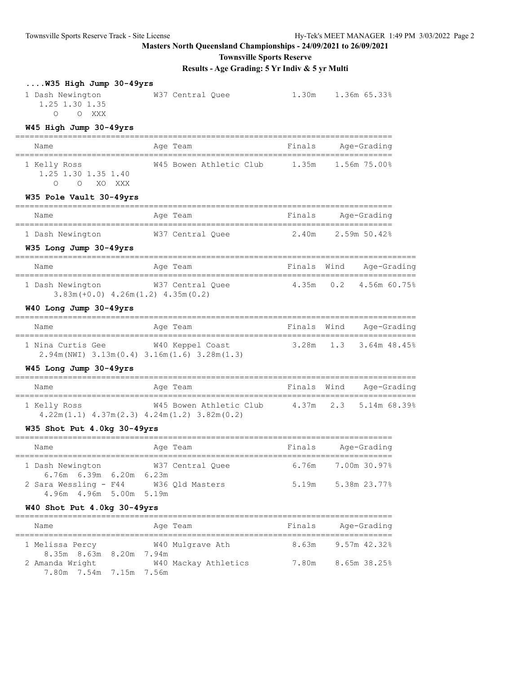**Townsville Sports Reserve**

|                                                                                      | Results - Age Grading: 5 Yr Indiv & 5 yr Multi                                                        |                    |  |                                    |  |
|--------------------------------------------------------------------------------------|-------------------------------------------------------------------------------------------------------|--------------------|--|------------------------------------|--|
| W35 High Jump 30-49yrs<br>1 Dash Newington<br>1.25 1.30 1.35<br>O O XXX              | W37 Central Quee                                                                                      |                    |  | 1.30m 1.36m 65.33%                 |  |
| W45 High Jump 30-49yrs                                                               |                                                                                                       |                    |  |                                    |  |
| Name                                                                                 | Age Team                                                                                              | Finals Age-Grading |  |                                    |  |
| 1 Kelly Ross<br>1.25 1.30 1.35 1.40<br>O XO XXX<br>$\bigcap$                         | W45 Bowen Athletic Club 1.35m 1.56m 75.00%                                                            |                    |  |                                    |  |
| W35 Pole Vault 30-49yrs                                                              |                                                                                                       |                    |  |                                    |  |
| Name                                                                                 | Age Team                                                                                              | Finals Age-Grading |  |                                    |  |
| W35 Long Jump 30-49yrs                                                               | 1 Dash Newington M37 Central Quee 2.40m 2.59m 50.42%                                                  |                    |  |                                    |  |
| Name                                                                                 | Age Team                                                                                              |                    |  | Finals Wind Age-Grading            |  |
| 1 Dash Newington<br>$3.83m (+0.0)$ 4.26m $(1.2)$ 4.35m $(0.2)$                       | W37 Central Quee $4.35$ m 0.2 4.56m 60.75%                                                            |                    |  |                                    |  |
| W40 Long Jump 30-49yrs                                                               |                                                                                                       |                    |  |                                    |  |
| Name                                                                                 | Age Team                                                                                              |                    |  | Finals Wind Age-Grading            |  |
| 1 Nina Curtis Gee W40 Keppel Coast                                                   | $2.94m(NWI)$ $3.13m(0.4)$ $3.16m(1.6)$ $3.28m(1.3)$                                                   |                    |  | 3.28m 1.3 3.64m 48.45%             |  |
| W45 Long Jump 30-49yrs                                                               |                                                                                                       |                    |  |                                    |  |
| Name                                                                                 | Aqe Team                                                                                              |                    |  | Finals Wind Age-Grading            |  |
| 1 Kelly Ross                                                                         | W45 Bowen Athletic Club 4.37m 2.3 5.14m 68.39%<br>$4.22m(1.1)$ $4.37m(2.3)$ $4.24m(1.2)$ $3.82m(0.2)$ |                    |  |                                    |  |
| W35 Shot Put 4.0kg 30-49yrs                                                          |                                                                                                       |                    |  |                                    |  |
|                                                                                      | Name <b>1988 Age Team</b> 1988 and Finals Age-Grading                                                 |                    |  |                                    |  |
| 1 Dash Newington<br>6.76m 6.39m 6.20m 6.23m<br>2 Sara Wessling - F44 W36 Qld Masters | W37 Central Quee                                                                                      | 6.76m              |  | 7.00m 30.97%<br>5.19m 5.38m 23.77% |  |
| 4.96m  4.96m  5.00m  5.19m<br>W40 Shot Put 4.0kg 30-49yrs                            |                                                                                                       |                    |  |                                    |  |
|                                                                                      |                                                                                                       |                    |  |                                    |  |

| Name                    | Age Team             | Finals | Age-Grading  |
|-------------------------|----------------------|--------|--------------|
| 1 Melissa Percy         | W40 Mulgrave Ath     | 8.63m  | 9.57m 42.32% |
| 8.35m 8.63m 8.20m 7.94m |                      |        |              |
| 2 Amanda Wright         | W40 Mackay Athletics | 7.80m  | 8.65m 38.25% |
| 7.80m 7.54m 7.15m 7.56m |                      |        |              |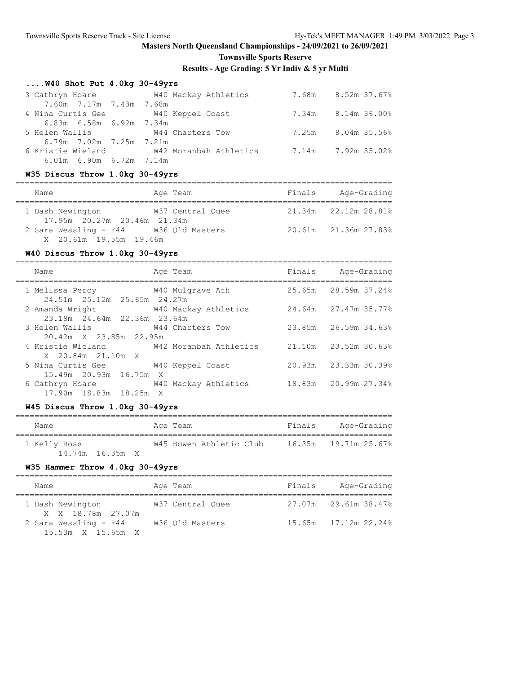## **Townsville Sports Reserve**

**Results - Age Grading: 5 Yr Indiv & 5 yr Multi**

# **....W40 Shot Put 4.0kg 30-49yrs**

| 3 Cathryn Hoare                      | W40 Mackay Athletics                     | 7.68m 8.52m 37.67% |
|--------------------------------------|------------------------------------------|--------------------|
| 7.60m 7.17m 7.43m 7.68m              |                                          |                    |
| 4 Nina Curtis Gee 5 740 Keppel Coast |                                          | 7.34m 8.14m 36.00% |
| 6.83m 6.58m 6.92m 7.34m              |                                          |                    |
| 5 Helen Wallis 6 644 Charters Tow    |                                          | 7.25m 8.04m 35.56% |
| 6.79m 7.02m 7.25m 7.21m              |                                          |                    |
|                                      | 6 Kristie Wieland M42 Moranbah Athletics | 7.14m 7.92m 35.02% |
| $6.01m$ $6.90m$ $6.72m$ $7.14m$      |                                          |                    |

## **W35 Discus Throw 1.0kg 30-49yrs**

|  | Name                                                            | Age Team         | Finals | Age-Grading                 |  |
|--|-----------------------------------------------------------------|------------------|--------|-----------------------------|--|
|  | 1 Dash Newington<br>17.95m 20.27m 20.46m 21.34m                 | W37 Central Ouee |        | $21.34m$ $22.12m$ $28.81\%$ |  |
|  | 2 Sara Wessling - F44 W36 Qld Masters<br>X 20.61m 19.55m 19.46m |                  |        | 20.61m 21.36m 27.83%        |  |

## **W40 Discus Throw 1.0kg 30-49yrs**

| Name                                                                | Age Team                                                      | Finals Age-Grading   |
|---------------------------------------------------------------------|---------------------------------------------------------------|----------------------|
| 1 Melissa Percy 640 Mulgrave Ath<br>24.51m 25.12m 25.65m 24.27m     |                                                               | 25.65m 28.59m 37.24% |
| 2 Amanda Wright 640 Mackay Athletics<br>23.18m 24.64m 22.36m 23.64m |                                                               | 24.64m 27.47m 35.77% |
| 3 Helen Wallis M44 Charters Tow<br>20.42m X 23.85m 22.95m           |                                                               | 23.85m 26.59m 34.63% |
| X 20.84m 21.10m X                                                   | 4 Kristie Wieland M42 Moranbah Athletics 21.10m 23.52m 30.63% |                      |
| 5 Nina Curtis Gee 5 W40 Keppel Coast<br>15.49m 20.93m 16.75m X      |                                                               | 20.93m 23.33m 30.39% |
| 6 Cathryn Hoare 6 W40 Mackay Athletics<br>17.90m 18.83m 18.25m X    |                                                               | 18.83m 20.99m 27.34% |

## **W45 Discus Throw 1.0kg 30-49yrs**

| Name         |                 | Age Team                | Finals | Age-Grading |
|--------------|-----------------|-------------------------|--------|-------------|
| 1 Kelly Ross |                 | W45 Bowen Athletic Club |        |             |
|              | 14.74m 16.35m X |                         |        |             |

#### **W35 Hammer Throw 4.0kg 30-49yrs**

| Name                                                   | Age Team         | Finals | Age-Grading          |
|--------------------------------------------------------|------------------|--------|----------------------|
| 1 Dash Newington<br>X X 18.78m 27.07m                  | W37 Central Ouee |        | 27.07m 29.61m 38.47% |
| 2 Sara Wessling - F44<br>$15.53m \times 15.65m \times$ | W36 Old Masters  |        | 15.65m 17.12m 22.24% |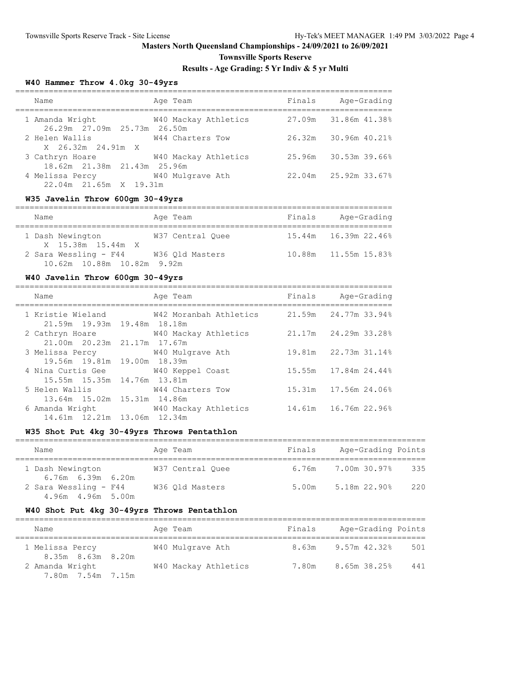**Townsville Sports Reserve**

## **Results - Age Grading: 5 Yr Indiv & 5 yr Multi**

## **W40 Hammer Throw 4.0kg 30-49yrs**

| Name                                           | Age Team             | Finals | Age-Grading              |
|------------------------------------------------|----------------------|--------|--------------------------|
| 1 Amanda Wright<br>26.29m 27.09m 25.73m 26.50m | W40 Mackay Athletics |        | 27.09m 31.86m 41.38%     |
| 2 Helen Wallis<br>X 26.32m 24.91m X            | W44 Charters Tow     |        | $26.32m$ $30.96m$ 40.21% |
| 3 Cathryn Hoare<br>18.62m 21.38m 21.43m 25.96m | W40 Mackay Athletics | 25.96m | 30.53m 39.66%            |
| 4 Melissa Percy<br>22.04m 21.65m X 19.31m      | W40 Mulgrave Ath     |        | 22.04m 25.92m 33.67%     |

## **W35 Javelin Throw 600gm 30-49yrs**

| Name                                                | Age Team         | Finals | Age-Grading          |
|-----------------------------------------------------|------------------|--------|----------------------|
| 1 Dash Newington<br>X 15.38m 15.44m X               | W37 Central Ouee |        | 15.44m 16.39m 22.46% |
| 2 Sara Wessling - F44<br>10.62m 10.88m 10.82m 9.92m | W36 Old Masters  |        | 10.88m 11.55m 15.83% |

## **W40 Javelin Throw 600gm 30-49yrs**

| Name                                                              | Age Team                                                      | Finals Age-Grading     |
|-------------------------------------------------------------------|---------------------------------------------------------------|------------------------|
| 21.59m 19.93m 19.48m 18.18m                                       | 1 Kristie Wieland M42 Moranbah Athletics 21.59m 24.77m 33.94% |                        |
| 21.00m 20.23m 21.17m 17.67m                                       | 2 Cathryn Hoare 6 740 Mackay Athletics                        | 21.17m 24.29m 33.28%   |
| 3 Melissa Percy 640 Mulgrave Ath<br>19.56m 19.81m 19.00m 18.39m   |                                                               | 19.81m 22.73m 31.14%   |
| 4 Nina Curtis Gee W40 Keppel Coast<br>15.55m 15.35m 14.76m 13.81m |                                                               | 15.55m 17.84m 24.44%   |
| 5 Helen Wallis<br>13.64m 15.02m 15.31m 14.86m                     | W44 Charters Tow                                              | 15.31m 17.56m 24.06%   |
| 14.61m 12.21m 13.06m 12.34m                                       | 6 Amanda Wright 6 W40 Mackay Athletics                        | 14.61m  16.76m  22.96% |

## **W35 Shot Put 4kg 30-49yrs Throws Pentathlon**

| Name                                        | Age Team         | Finals | Age-Grading Points              |
|---------------------------------------------|------------------|--------|---------------------------------|
| 1 Dash Newington<br>$6.76m$ $6.39m$ $6.20m$ | W37 Central Ouee |        | $6.76m$ $7.00m$ $30.978$<br>335 |
| 2 Sara Wessling - F44<br>4.96m 4.96m 5.00m  | W36 Old Masters  | 5.00m  | 5.18m 22.90%<br>220             |

## **W40 Shot Put 4kg 30-49yrs Throws Pentathlon**

| Name                                 |  | Age Team             | Finals             | Age-Grading Points |     |
|--------------------------------------|--|----------------------|--------------------|--------------------|-----|
| 1 Melissa Percy<br>8.35m 8.63m 8.20m |  | W40 Mulgrave Ath     | 8.63m 9.57m 42.32% |                    | 501 |
| 2 Amanda Wright<br>7.80m 7.54m 7.15m |  | W40 Mackay Athletics | 7.80m              | 8.65m 38.25%       | 441 |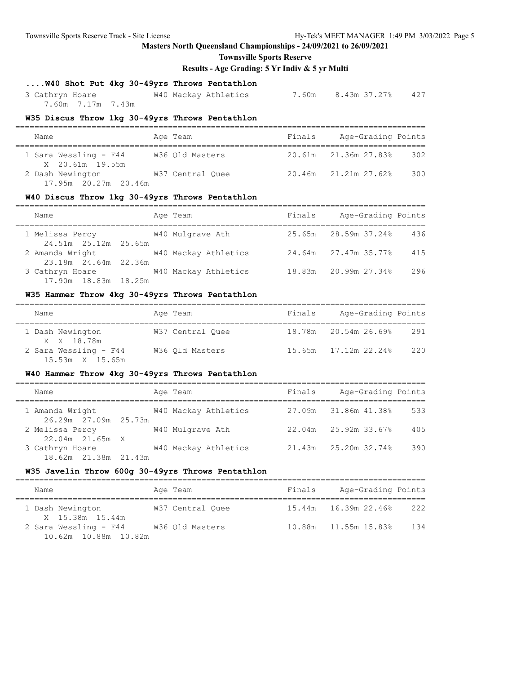**Townsville Sports Reserve**

**Results - Age Grading: 5 Yr Indiv & 5 yr Multi**

# **....W40 Shot Put 4kg 30-49yrs Throws Pentathlon**

 3 Cathryn Hoare W40 Mackay Athletics 7.60m 8.43m 37.27% 427 7.60m 7.17m 7.43m

#### **W35 Discus Throw 1kg 30-49yrs Throws Pentathlon**

| Name                                     | Age Team         | Finals | Age-Grading Points          |  |  |  |  |
|------------------------------------------|------------------|--------|-----------------------------|--|--|--|--|
| 1 Sara Wessling - F44<br>X 20.61m 19.55m | W36 Old Masters  |        | 20.61m 21.36m 27.83%<br>302 |  |  |  |  |
| 2 Dash Newington<br>17.95m 20.27m 20.46m | W37 Central Ouee |        | 300<br>20.46m 21.21m 27.62% |  |  |  |  |

#### **W40 Discus Throw 1kg 30-49yrs Throws Pentathlon**

| Name                                    | Age Team             | Finals | Age-Grading Points   |     |
|-----------------------------------------|----------------------|--------|----------------------|-----|
| 1 Melissa Percy                         | W40 Mulgrave Ath     |        | 25.65m 28.59m 37.24% | 436 |
| 24.51m 25.12m 25.65m<br>2 Amanda Wright | W40 Mackay Athletics |        | 24.64m 27.47m 35.77% | 415 |
| 23.18m 24.64m 22.36m<br>3 Cathryn Hoare | W40 Mackay Athletics |        | 18.83m 20.99m 27.34% | 296 |
| 17.90m 18.83m 18.25m                    |                      |        |                      |     |

## **W35 Hammer Throw 4kg 30-49yrs Throws Pentathlon**

| Name             |                                          |  | Age Team         | Finals | Age-Grading Points   |     |  |  |
|------------------|------------------------------------------|--|------------------|--------|----------------------|-----|--|--|
| 1 Dash Newington | X X 18.78m                               |  | W37 Central Ouee |        | 18.78m 20.54m 26.69% | 291 |  |  |
|                  | 2 Sara Wessling - F44<br>15.53m X 15.65m |  | W36 Old Masters  |        |                      | 220 |  |  |

## **W40 Hammer Throw 4kg 30-49yrs Throws Pentathlon**

| Name                                    | Age Team             | Finals | Age-Grading Points          |     |
|-----------------------------------------|----------------------|--------|-----------------------------|-----|
| 1 Amanda Wright<br>26.29m 27.09m 25.73m | W40 Mackay Athletics |        | 27.09m 31.86m 41.38%        | 533 |
| 2 Melissa Percy<br>22.04m 21.65m X      | W40 Mulgrave Ath     |        | $22.04m$ $25.92m$ $33.67\%$ | 405 |
| 3 Cathryn Hoare<br>18.62m 21.38m 21.43m | W40 Mackay Athletics |        | 21.43m 25.20m 32.74%        | 390 |

## **W35 Javelin Throw 600g 30-49yrs Throws Pentathlon**

| Name                                          | Age Team         | Finals | Age-Grading Points          |  |  |  |  |  |
|-----------------------------------------------|------------------|--------|-----------------------------|--|--|--|--|--|
| 1 Dash Newington<br>X 15.38m 15.44m           | W37 Central Ouee |        | 222                         |  |  |  |  |  |
| 2 Sara Wessling - F44<br>10.62m 10.88m 10.82m | W36 Old Masters  |        | 134<br>10.88m 11.55m 15.83% |  |  |  |  |  |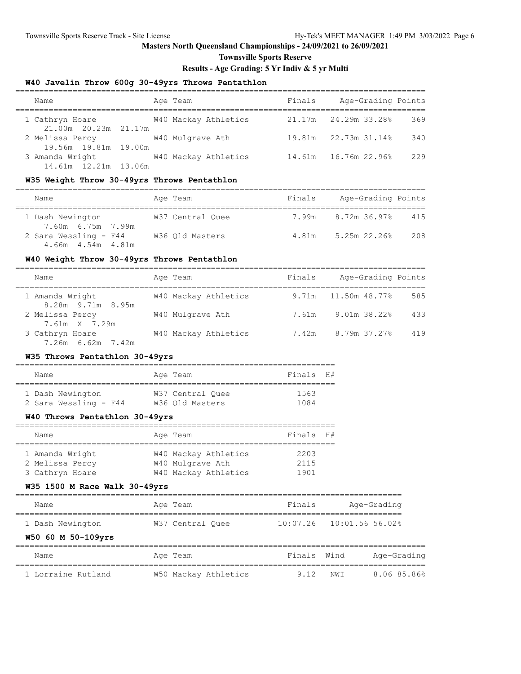**Townsville Sports Reserve**

## **Results - Age Grading: 5 Yr Indiv & 5 yr Multi**

## **W40 Javelin Throw 600g 30-49yrs Throws Pentathlon**

| Name                                    | Age Team             | Finals | Age-Grading Points            |
|-----------------------------------------|----------------------|--------|-------------------------------|
| 1 Cathryn Hoare<br>21.00m 20.23m 21.17m | W40 Mackay Athletics |        | 21.17m 24.29m 33.28%<br>369   |
| 2 Melissa Percy                         | W40 Mulgrave Ath     |        | 19.81m 22.73m 31.14%<br>340   |
| 19.56m 19.81m 19.00m<br>3 Amanda Wright | W40 Mackay Athletics |        | 229<br>14.61m  16.76m  22.96% |
| 14.61m 12.21m 13.06m                    |                      |        |                               |

#### **W35 Weight Throw 30-49yrs Throws Pentathlon**

| Name                                       | Age Team         | Finals | Age-Grading Points        |
|--------------------------------------------|------------------|--------|---------------------------|
| 1 Dash Newington<br>7.60m 6.75m 7.99m      | W37 Central Ouee |        | 7.99m 8.72m 36.97%<br>415 |
| 2 Sara Wessling - F44<br>4.66m 4.54m 4.81m | W36 Old Masters  | 4.81m  | 208<br>5.25m 22.26%       |

## **W40 Weight Throw 30-49yrs Throws Pentathlon**

| Name                                 | Age Team             | Finals | Age-Grading Points      |     |
|--------------------------------------|----------------------|--------|-------------------------|-----|
| 1 Amanda Wright<br>8.28m 9.71m 8.95m | W40 Mackay Athletics |        | 9.71m   11.50m   48.77% | 585 |
| 2 Melissa Percy<br>7.61m X 7.29m     | W40 Mulgrave Ath     | 7.61m  | $9.01m$ 38.22%          | 433 |
| 3 Cathryn Hoare<br>7.26m 6.62m 7.42m | W40 Mackay Athletics | 7.42m  | 8.79m 37.27%            | 419 |

#### **W35 Throws Pentathlon 30-49yrs**

| Name                  | Age Team         | Finals H# |  |
|-----------------------|------------------|-----------|--|
| 1 Dash Newington      | W37 Central Ouee | 1563      |  |
| 2 Sara Wessling - F44 | W36 Old Masters  | 1084      |  |

## **W40 Throws Pentathlon 30-49yrs**

| Name            | Age Team             | Finals H# |  |
|-----------------|----------------------|-----------|--|
|                 |                      |           |  |
| 1 Amanda Wright | W40 Mackay Athletics | 2203      |  |
| 2 Melissa Percy | W40 Mulgrave Ath     | 2115      |  |
| 3 Cathryn Hoare | W40 Mackay Athletics | 1901      |  |

## **W35 1500 M Race Walk 30-49yrs**

| Name               | Age Team         | Finals | Age-Grading                  |
|--------------------|------------------|--------|------------------------------|
| 1 Dash Newington   | W37 Central Ouee |        | $10:07.26$ $10:01.56$ 56.02% |
| W50 60 M 50-109yrs |                  |        |                              |

| Name               | Age Team             | Finals Wind |          | Age-Grading |
|--------------------|----------------------|-------------|----------|-------------|
| 1 Lorraine Rutland | W50 Mackay Athletics |             | 9.12 NWT | 8.06 85.86% |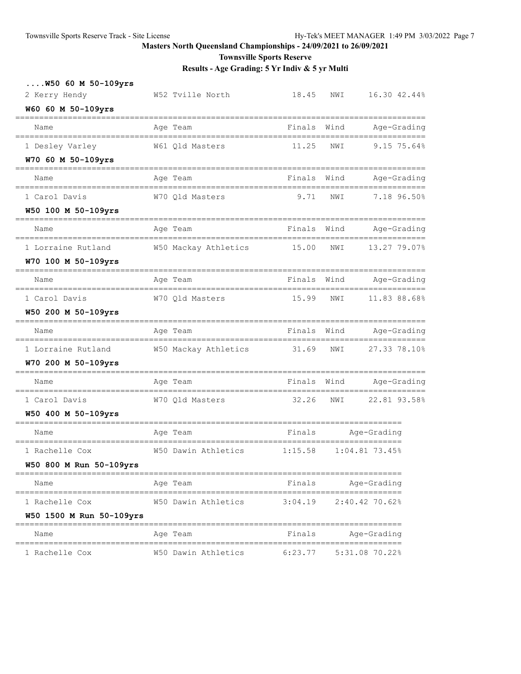**Townsville Sports Reserve**

| $\ldots$ .W50 60 M 50-109yrs<br>2 Kerry Hendy | W52 Tville North                                 | 18.45   | 16.30 42.44%<br>NWI                        |  |
|-----------------------------------------------|--------------------------------------------------|---------|--------------------------------------------|--|
| W60 60 M 50-109yrs                            |                                                  |         |                                            |  |
| Name                                          | Age Team                                         | Finals  | Age-Grading<br>Wind                        |  |
| 1 Desley Varley                               | W61 Qld Masters                                  | 11.25   | 9.15 75.64%<br>NWI                         |  |
| W70 60 M 50-109yrs                            |                                                  |         |                                            |  |
| Name                                          | Age Team                                         | Finals  | Age-Grading<br>Wind<br>================    |  |
| 1 Carol Davis                                 | W70 Qld Masters                                  | 9.71    | 7.18 96.50%<br>NWI                         |  |
| W50 100 M 50-109yrs                           |                                                  |         | ===================                        |  |
| Name                                          | Age Team                                         | Finals  | Wind<br>Age-Grading                        |  |
| 1 Lorraine Rutland                            | W50 Mackay Athletics                             | 15.00   | 13.27 79.07%<br>NWI                        |  |
| W70 100 M 50-109yrs                           |                                                  |         |                                            |  |
| Name                                          | Age Team                                         | Finals  | Wind<br>Age-Grading                        |  |
| 1 Carol Davis                                 | W70 Qld Masters                                  | 15.99   | 11.83 88.68%<br>NWI                        |  |
| W50 200 M 50-109yrs                           | ======<br>------------------------               |         | ====================                       |  |
| Name                                          | Age Team                                         | Finals  | Wind<br>Age-Grading<br>=================== |  |
| 1 Lorraine Rutland                            | W50 Mackay Athletics                             | 31.69   | 27.33 78.10%<br>NWI                        |  |
| W70 200 M 50-109yrs                           | ==============                                   |         | ===================                        |  |
| Name<br>------------------------              | Age Team<br>==================================== | Finals  | Wind<br>Age-Grading                        |  |
| 1 Carol Davis                                 | W70 Qld Masters                                  | 32.26   | 22.81 93.58%<br>NWI                        |  |
| W50 400 M 50-109yrs                           |                                                  |         |                                            |  |
| Name                                          | Age Team                                         | Finals  | Age-Grading                                |  |
| 1 Rachelle Cox                                | W50 Dawin Athletics                              | 1:15.58 | $1:04.81$ 73.45%                           |  |
| W50 800 M Run 50-109yrs                       |                                                  |         |                                            |  |
| Name                                          | Age Team                                         | Finals  | Age-Grading                                |  |
| 1 Rachelle Cox                                | W50 Dawin Athletics                              | 3:04.19 | 2:40.42 70.62%                             |  |
| W50 1500 M Run 50-109yrs                      |                                                  |         |                                            |  |
| Name                                          | Age Team                                         | Finals  | Age-Grading                                |  |
| 1 Rachelle Cox                                | W50 Dawin Athletics                              | 6:23.77 | 5:31.08 70.22%                             |  |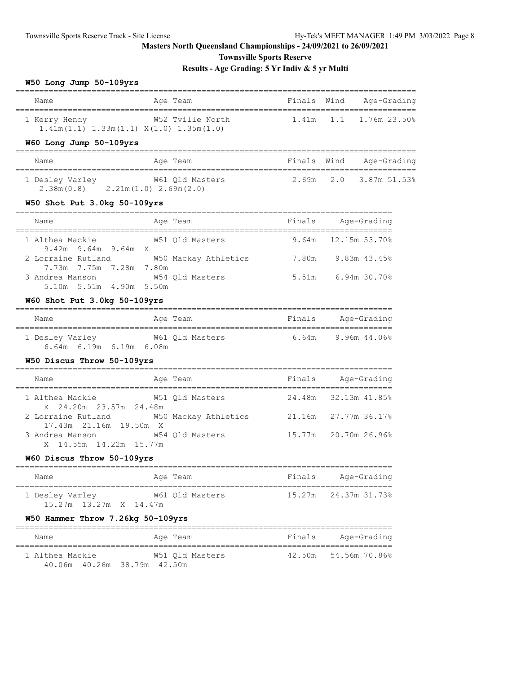**Townsville Sports Reserve**

## **Results - Age Grading: 5 Yr Indiv & 5 yr Multi**

## **W50 Long Jump 50-109yrs**

| Name                                                             | Age Team         | Finals Wind | Aqe-Grading                     |
|------------------------------------------------------------------|------------------|-------------|---------------------------------|
| 1 Kerry Hendy<br>$1.41m(1.1)$ $1.33m(1.1)$ $X(1.0)$ $1.35m(1.0)$ | W52 Tville North |             | $1.41m$ $1.1$ $1.76m$ $23.50\%$ |

## **W60 Long Jump 50-109yrs**

| Name                          | Age Team                                     | Finals Wind | Aqe-Grading            |
|-------------------------------|----------------------------------------------|-------------|------------------------|
| 1 Desley Varley<br>2.38m(0.8) | W61 Old Masters<br>$2.21m(1.0)$ $2.69m(2.0)$ |             | 2.69m 2.0 3.87m 51.53% |

## **W50 Shot Put 3.0kg 50-109yrs**

| Name                                          | Age Team             | Finals | Age-Grading           |
|-----------------------------------------------|----------------------|--------|-----------------------|
| 1 Althea Mackie<br>$9.42m$ $9.64m$ $9.64m$ X  | W51 Old Masters      |        | $9.64m$ 12.15m 53.70% |
| 2 Lorraine Rutland<br>7.73m 7.75m 7.28m 7.80m | W50 Mackay Athletics | 7.80m  | 9.83m 43.45%          |
| 3 Andrea Manson<br>5.10m 5.51m 4.90m 5.50m    | W54 Old Masters      | 5.51m  | 6.94m 30.70%          |

#### **W60 Shot Put 3.0kg 50-109yrs**

| Name            | Age Team                | Finals | Age-Grading  |
|-----------------|-------------------------|--------|--------------|
| 1 Desley Varley | W61 Old Masters         | 6.64m  | 9.96m 44.06% |
|                 | 6.64m 6.19m 6.19m 6.08m |        |              |

## **W50 Discus Throw 50-109yrs**

| Name                                         | Age Team             | Finals | Age-Grading          |
|----------------------------------------------|----------------------|--------|----------------------|
| 1 Althea Mackie<br>X 24.20m 23.57m 24.48m    | W51 Old Masters      |        | 24.48m 32.13m 41.85% |
| 2 Lorraine Rutland<br>17.43m 21.16m 19.50m X | W50 Mackay Athletics |        | 21.16m 27.77m 36.17% |
| 3 Andrea Manson<br>X 14.55m 14.22m 15.77m    | W54 Old Masters      |        | 15.77m 20.70m 26.96% |

## **W60 Discus Throw 50-109yrs**

| Name                   | Age Team        | Finals | Age-Grading          |
|------------------------|-----------------|--------|----------------------|
| 1 Desley Varley        | W61 Old Masters |        | 15.27m 24.37m 31.73% |
| 15.27m 13.27m X 14.47m |                 |        |                      |

## **W50 Hammer Throw 7.26kg 50-109yrs**

| Name                           | Age Team        | Finals | Age-Grading          |
|--------------------------------|-----------------|--------|----------------------|
| 1 Althea Mackie                | W51 Old Masters |        | 42.50m 54.56m 70.86% |
| 40.06m  40.26m  38.79m  42.50m |                 |        |                      |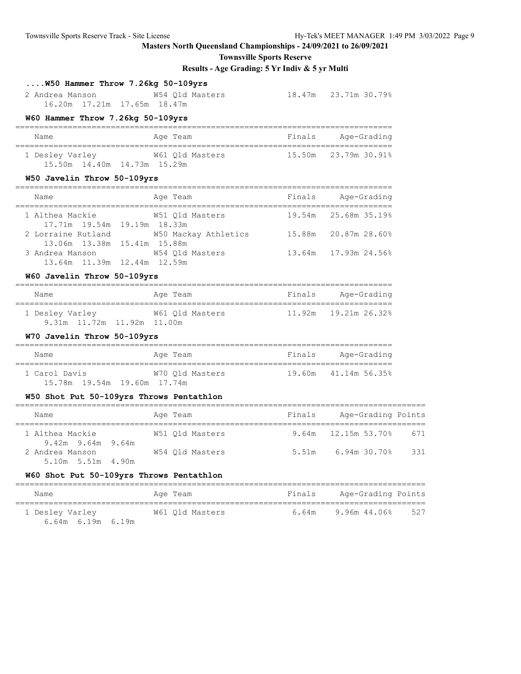**Townsville Sports Reserve**

**Results - Age Grading: 5 Yr Indiv & 5 yr Multi**

## **....W50 Hammer Throw 7.26kg 50-109yrs**

| 2 Andrea Manson | W54 Old Masters             | 18.47m 23.71m 30.79% |
|-----------------|-----------------------------|----------------------|
|                 | 16.20m 17.21m 17.65m 18.47m |                      |

#### **W60 Hammer Throw 7.26kg 50-109yrs**

| Name                                              | Age Team        | Finals | Age-Grading          |
|---------------------------------------------------|-----------------|--------|----------------------|
| 1 Desley Varley<br>15.50m  14.40m  14.73m  15.29m | W61 Old Masters |        | 15.50m 23.79m 30.91% |

#### **W50 Javelin Throw 50-109yrs**

| Name                                              | Age Team             | Finals | Age-Grading          |
|---------------------------------------------------|----------------------|--------|----------------------|
| 1 Althea Mackie                                   | W51 Old Masters      |        | 19.54m 25.68m 35.19% |
| 17.71m 19.54m 19.19m 18.33m<br>2 Lorraine Rutland | W50 Mackay Athletics | 15.88m | 20.87m 28.60%        |
| 13.06m 13.38m 15.41m 15.88m<br>3 Andrea Manson    | W54 Old Masters      |        | 13.64m 17.93m 24.56% |
| 13.64m 11.39m 12.44m 12.59m                       |                      |        |                      |

## **W60 Javelin Throw 50-109yrs**

| Name                       | Age Team        | Finals | Age-Grading |
|----------------------------|-----------------|--------|-------------|
| 1 Desley Varley            | W61 Old Masters |        |             |
| 9.31m 11.72m 11.92m 11.00m |                 |        |             |

## **W70 Javelin Throw 50-109yrs**

| Name                                            | Age Team        | Finals<br>Age-Grading |  |  |  |  |  |  |
|-------------------------------------------------|-----------------|-----------------------|--|--|--|--|--|--|
| 1 Carol Davis<br>15.78m  19.54m  19.60m  17.74m | W70 Old Masters | 19.60m 41.14m 56.35%  |  |  |  |  |  |  |

## **W50 Shot Put 50-109yrs Throws Pentathlon**

| Name                                       |  | Age Team |                 | Finals | Age-Grading Points    |     |
|--------------------------------------------|--|----------|-----------------|--------|-----------------------|-----|
| 1 Althea Mackie<br>9.42m 9.64m 9.64m       |  |          | W51 Old Masters |        | 9.64m $12.15m$ 53.70% | 671 |
| 2 Andrea Manson<br>$5.10m$ $5.51m$ $4.90m$ |  |          | W54 Old Masters | 5.51m  | 6.94m 30.70%          | 331 |

#### **W60 Shot Put 50-109yrs Throws Pentathlon**

| Name            |                         | Age Team        | Finals | Age-Grading Points |     |
|-----------------|-------------------------|-----------------|--------|--------------------|-----|
| 1 Desley Varley | $6.64m$ $6.19m$ $6.19m$ | W61 Old Masters | 6.64m  | 9.96m 44.06%       | 527 |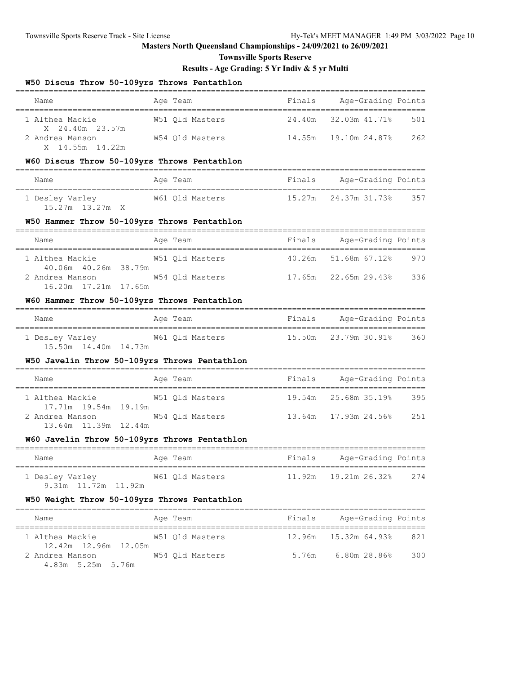**Townsville Sports Reserve**

## **Results - Age Grading: 5 Yr Indiv & 5 yr Multi**

#### **W50 Discus Throw 50-109yrs Throws Pentathlon**

| Name                               | Age Team        | Finals | Age-Grading Points           |     |
|------------------------------------|-----------------|--------|------------------------------|-----|
| 1 Althea Mackie<br>X 24.40m 23.57m | W51 Old Masters |        | 24.40m 32.03m 41.71%         | 501 |
| 2 Andrea Manson<br>X 14.55m 14.22m | W54 Old Masters |        | 14.55m     19.10m     24.87% | 262 |

#### **W60 Discus Throw 50-109yrs Throws Pentathlon**

| Name                               | Age Team        | Finals | Age-Grading Points          |
|------------------------------------|-----------------|--------|-----------------------------|
| 1 Desley Varley<br>15.27m 13.27m X | W61 Old Masters |        | 357<br>15.27m 24.37m 31.73% |

#### **W50 Hammer Throw 50-109yrs Throws Pentathlon**

| Name                                      | Age Team        | Finals | Age-Grading Points   |     |
|-------------------------------------------|-----------------|--------|----------------------|-----|
| 1 Althea Mackie<br>40.06m  40.26m  38.79m | W51 Old Masters |        | 40.26m 51.68m 67.12% | 970 |
| 2 Andrea Manson<br>16.20m 17.21m 17.65m   | W54 Old Masters |        | 17.65m 22.65m 29.43% | 336 |

#### **W60 Hammer Throw 50-109yrs Throws Pentathlon**

| Name                   | Age Team        | Finals | Age-Grading Points   |     |
|------------------------|-----------------|--------|----------------------|-----|
| 1 Desley Varley        | W61 Old Masters |        | 15.50m 23.79m 30.91% | 360 |
| 15.50m  14.40m  14.73m |                 |        |                      |     |

## **W50 Javelin Throw 50-109yrs Throws Pentathlon**

| Name                                    |  | Age Team        | Finals | Age-Grading Points   |      |
|-----------------------------------------|--|-----------------|--------|----------------------|------|
| 1 Althea Mackie<br>17.71m 19.54m 19.19m |  | W51 Old Masters |        | 19.54m 25.68m 35.19% | 395  |
| 2 Andrea Manson<br>13.64m 11.39m 12.44m |  | W54 Old Masters |        | 13.64m 17.93m 24.56% | 2.51 |

#### **W60 Javelin Throw 50-109yrs Throws Pentathlon**

| Name                                   | Age Team        | Finals | Age-Grading Points         |     |
|----------------------------------------|-----------------|--------|----------------------------|-----|
| 1 Desley Varley<br>9.31m 11.72m 11.92m | W61 Old Masters |        | $11.92m$ $19.21m$ $26.328$ | 274 |

#### **W50 Weight Throw 50-109yrs Throws Pentathlon**

| Name                                    | Age Team        | Finals | Age-Grading Points   |     |
|-----------------------------------------|-----------------|--------|----------------------|-----|
| 1 Althea Mackie<br>12.42m 12.96m 12.05m | W51 Old Masters |        | 12.96m 15.32m 64.93% | 821 |
| 2 Andrea Manson<br>4.83m 5.25m 5.76m    | W54 Old Masters | 5.76m  | 6.80m 28.86%         | 300 |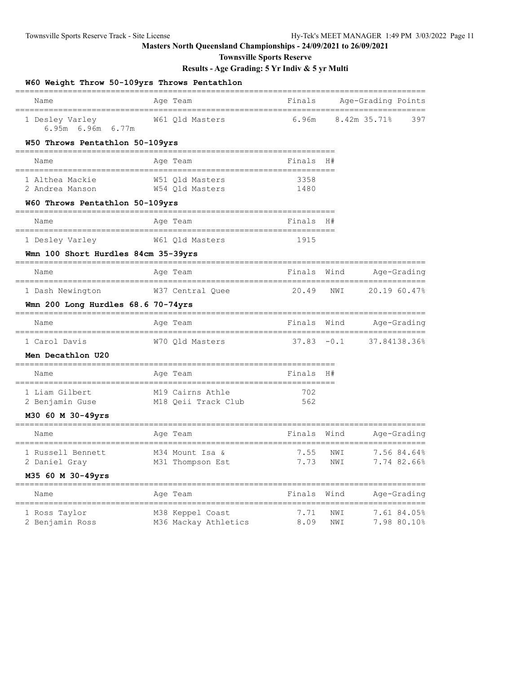**Townsville Sports Reserve**

| Name                                 | ------<br>Age Team     | Finals                                 |      | Age-Grading Points                 |
|--------------------------------------|------------------------|----------------------------------------|------|------------------------------------|
|                                      |                        |                                        |      |                                    |
| 1 Desley Varley<br>6.95m 6.96m 6.77m | W61 Qld Masters        | 6.96m                                  |      | 8.42m 35.71%<br>397                |
| W50 Throws Pentathlon 50-109yrs      |                        |                                        |      |                                    |
| Name                                 | Age Team               | Finals                                 | - H# |                                    |
| 1 Althea Mackie                      | W51 Old Masters        | 3358                                   |      |                                    |
| 2 Andrea Manson                      | W54 Qld Masters        | 1480                                   |      |                                    |
| W60 Throws Pentathlon 50-109yrs      |                        |                                        |      |                                    |
| Name                                 | Age Team               | Finals                                 | H#   |                                    |
| 1 Desley Varley                      | W61 Qld Masters        | 1915                                   |      |                                    |
| Wmn 100 Short Hurdles 84cm 35-39yrs  |                        |                                        |      |                                    |
| Name                                 | Age Team               | Finals                                 | Wind | Age-Grading                        |
| 1 Dash Newington                     | W37 Central Quee       | 20.49                                  | NWI  | 20.19 60.47%                       |
| Wmn 200 Long Hurdles 68.6 70-74yrs   |                        |                                        |      |                                    |
| Name                                 | Age Team               | Finals                                 | Wind | Age-Grading<br>------------------- |
| 1 Carol Davis                        | W70 Qld Masters        | $37.83 - 0.1$                          |      | 37.84138.36%                       |
| Men Decathlon U20                    |                        |                                        |      |                                    |
| Name                                 | Age Team               | Finals H#                              |      |                                    |
| 1 Liam Gilbert                       | M19 Cairns Athle       | 702                                    |      |                                    |
| 2 Benjamin Guse                      | M18 Qeii Track Club    | 562                                    |      |                                    |
| M30 60 M 30-49yrs                    |                        | ----------------------                 |      |                                    |
| Name                                 | Age Team<br>========== | Finals Wind<br>======================= |      | Age-Grading<br>=================   |
| 1 Russell Bennett                    | M34 Mount Isa &        | 7.55                                   | NWI  | 7.56 84.64%                        |
| 2 Daniel Gray                        | M31 Thompson Est       | 7.73                                   | NWI  | 7.74 82.66%                        |
| M35 60 M 30-49yrs                    |                        |                                        |      |                                    |
| Name                                 | Age Team               | Finals                                 | Wind | Age-Grading<br>======              |
| 1 Ross Taylor                        | M38 Keppel Coast       | 7.71                                   | NWI  | 7.61 84.05%                        |
| 2 Benjamin Ross                      | M36 Mackay Athletics   | 8.09                                   | NWI  | 7.98 80.10%                        |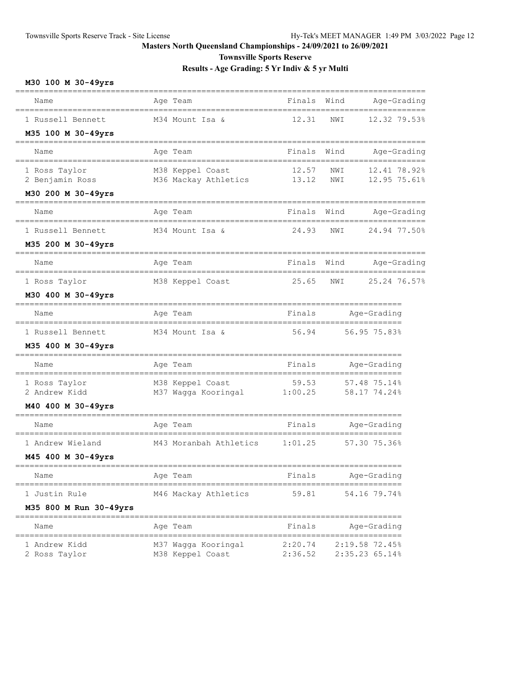**Townsville Sports Reserve**

**Results - Age Grading: 5 Yr Indiv & 5 yr Multi**

## **M30 100 M 30-49yrs** ====================================================================================== Name Age Team Finals Wind Age-Grading Age-Grading ====================================================================================== 1 Russell Bennett M34 Mount Isa & 12.31 NWI 12.32 79.53% **M35 100 M 30-49yrs** ====================================================================================== Name **Age Team** Age Team Finals Wind Age-Grading ====================================================================================== 1 Ross Taylor M38 Keppel Coast 12.57 NWI 12.41 78.92% 2 Benjamin Ross M36 Mackay Athletics 13.12 NWI 12.95 75.61% **M30 200 M 30-49yrs** ====================================================================================== Name **Age Team Communist Page-Grading** Manner Age-Grading Age-Grading ====================================================================================== 1 Russell Bennett M34 Mount Isa & 24.93 NWI 24.94 77.50% **M35 200 M 30-49yrs** ====================================================================================== Name **Age Team** Age Team Finals Wind Age-Grading ====================================================================================== 1 Ross Taylor M38 Keppel Coast 25.65 NWI 25.24 76.57% **M30 400 M 30-49yrs** ================================================================================= Name **Age Team** Age Team Finals Age-Grading ================================================================================= 1 Russell Bennett M34 Mount Isa & 56.94 56.95 75.83% **M35 400 M 30-49yrs** ================================================================================= Name **Age Team** Age Team Finals Age-Grading ================================================================================= 1 Ross Taylor M38 Keppel Coast 59.53 57.48 75.14% 2 Andrew Kidd M37 Wagga Kooringal 1:00.25 58.17 74.24% **M40 400 M 30-49yrs** ================================================================================= Name Age Team Age Team Finals Age-Grading ================================================================================= 1 Andrew Wieland M43 Moranbah Athletics 1:01.25 57.30 75.36% **M45 400 M 30-49yrs** ================================================================================= Age Team **Finals** Age-Grading ================================================================================= 1 Justin Rule M46 Mackay Athletics 59.81 54.16 79.74% **M35 800 M Run 30-49yrs** ================================================================================= Name Age Team Research Age-Grading Manne Age-Grading ================================================================================= 1 Andrew Kidd M37 Wagga Kooringal 2:20.74 2:19.58 72.45% 2 Ross Taylor M38 Keppel Coast 2:36.52 2:35.23 65.14%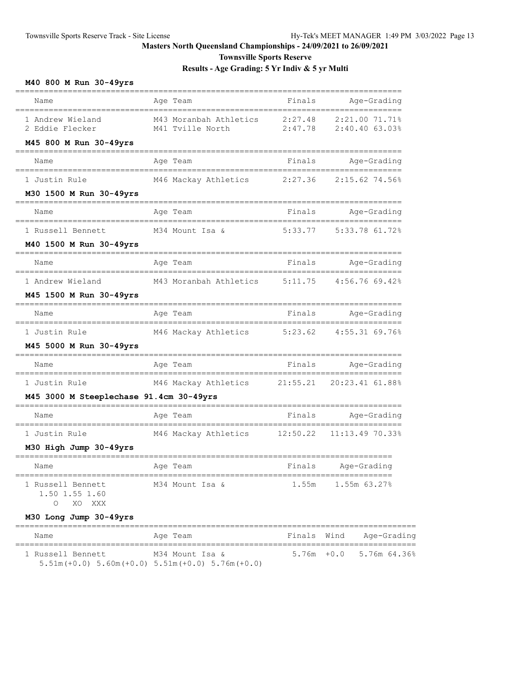**Townsville Sports Reserve**

**Results - Age Grading: 5 Yr Indiv & 5 yr Multi**

## **M40 800 M Run 30-49yrs**

| Name                                                          | Age Team                                   | Finals             | Age-Grading                      |
|---------------------------------------------------------------|--------------------------------------------|--------------------|----------------------------------|
| 1 Andrew Wieland<br>2 Eddie Flecker<br>M45 800 M Run 30-49yrs | M43 Moranbah Athletics<br>M41 Tville North | 2:27.48<br>2:47.78 | 2:21.00 71.71%<br>2:40.40 63.03% |
| Name                                                          | Age Team                                   | Finals             | Age-Grading                      |
| 1 Justin Rule                                                 | M46 Mackay Athletics                       | 2:27.36            | 2:15.62 74.56%                   |
| M30 1500 M Run 30-49yrs                                       |                                            |                    |                                  |
| Name                                                          | Age Team                                   | Finals             | Age-Grading                      |
| 1 Russell Bennett                                             | M34 Mount Isa &                            | 5:33.77            | 5:33.78 61.72%                   |
| M40 1500 M Run 30-49yrs                                       |                                            |                    |                                  |
| Name                                                          | Age Team                                   | Finals             | Age-Grading                      |
| 1 Andrew Wieland                                              | M43 Moranbah Athletics                     | 5:11.75            | 4:56.76 69.42%                   |
| M45 1500 M Run 30-49yrs                                       |                                            |                    |                                  |
| Name                                                          | Aqe Team                                   | Finals             | Age-Grading                      |
| 1 Justin Rule                                                 | M46 Mackay Athletics                       | 5:23.62            | 4:55.31 69.76%                   |
| M45 5000 M Run 30-49yrs                                       |                                            |                    |                                  |
| Name                                                          | Age Team                                   | Finals             | Age-Grading                      |
| 1 Justin Rule                                                 | M46 Mackay Athletics                       | 21:55.21           | 20:23.41 61.88%                  |
| M45 3000 M Steeplechase 91.4cm 30-49yrs                       |                                            |                    |                                  |
| Name                                                          | Age Team                                   | Finals             | Age-Grading                      |
| 1 Justin Rule                                                 | M46 Mackay Athletics                       | 12:50.22           | 11:13.49 70.33%                  |
| M30 High Jump 30-49yrs                                        |                                            |                    |                                  |
| Name                                                          | Age Team                                   | Finals             | Age-Grading                      |
| 1 Russell Bennett<br>1.50 1.55 1.60<br>$\circ$<br>XO XXX      | M34 Mount Isa &                            |                    | 1.55m 1.55m 63.27%               |
| M30 Long Jump 30-49yrs                                        |                                            |                    |                                  |
| Name                                                          | Age Team                                   |                    | Finals Wind<br>Age-Grading       |
| 1 Russell Bennett                                             | M34 Mount Isa &                            |                    | $5.76m + 0.0$ 5.76m 64.36%       |

5.51m(+0.0) 5.60m(+0.0) 5.51m(+0.0) 5.76m(+0.0)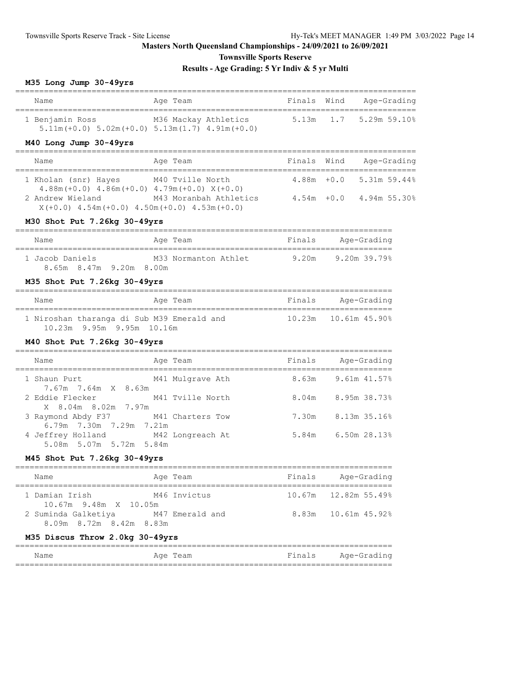**Townsville Sports Reserve**

# **Results - Age Grading: 5 Yr Indiv & 5 yr Multi**

## **M35 Long Jump 30-49yrs**

| Name                                                           | Finals Wind Age-Grading<br>Age Team                                                                                 |                    |                         |  |
|----------------------------------------------------------------|---------------------------------------------------------------------------------------------------------------------|--------------------|-------------------------|--|
|                                                                | 1 Benjamin Ross M36 Mackay Athletics 5.13m 1.7 5.29m 59.10%<br>$5.11m (+0.0) 5.02m (+0.0) 5.13m (1.7) 4.91m (+0.0)$ |                    |                         |  |
| M40 Long Jump 30-49yrs                                         |                                                                                                                     |                    |                         |  |
| Name                                                           | Age Team                                                                                                            | Finals Wind        | Age-Grading             |  |
| 1 Kholan (snr) Hayes M40 Tville North                          | $4.88m (+0.0)$ $4.86m (+0.0)$ $4.79m (+0.0)$ $X (+0.0)$                                                             |                    | 4.88m +0.0 5.31m 59.44% |  |
| $X(+0.0)$ 4.54m $(+0.0)$ 4.50m $(+0.0)$ 4.53m $(+0.0)$         | 2 Andrew Wieland M43 Moranbah Athletics 4.54m +0.0 4.94m 55.30%                                                     |                    |                         |  |
| M30 Shot Put 7.26kg 30-49yrs                                   |                                                                                                                     |                    |                         |  |
| Name                                                           | Age Team                                                                                                            | Finals Age-Grading |                         |  |
| 8.65m 8.47m 9.20m 8.00m                                        | ______________________________________<br>1 Jacob Daniels M33 Normanton Athlet 9.20m 9.20m 39.79%                   |                    |                         |  |
| M35 Shot Put 7.26kg 30-49yrs                                   |                                                                                                                     |                    |                         |  |
| Name                                                           | Aqe Team                                                                                                            | Finals Age-Grading |                         |  |
| 10.23m 9.95m 9.95m 10.16m                                      | 1 Niroshan tharanga di Sub M39 Emerald and 10.23m 10.61m 45.90%                                                     |                    |                         |  |
| M40 Shot Put 7.26kg 30-49yrs                                   |                                                                                                                     |                    |                         |  |
| Name                                                           | Age Team                                                                                                            | Finals Age-Grading |                         |  |
| $7.67m$ $7.64m$ $X$ $8.63m$                                    | 1 Shaun Purt M41 Mulgrave Ath 8.63m 9.61m 41.57%                                                                    |                    |                         |  |
| 2 Eddie Flecker M41 Tville North<br>X 8.04m 8.02m 7.97m        |                                                                                                                     |                    | 8.04m 8.95m 38.73%      |  |
| 3 Raymond Abdy F37 M41 Charters Tow<br>6.79m 7.30m 7.29m 7.21m |                                                                                                                     |                    | 7.30m 8.13m 35.16%      |  |
| 4 Jeffrey Holland M42 Longreach At                             |                                                                                                                     |                    | 5.84m 6.50m 28.13%      |  |

5.08m 5.07m 5.72m 5.84m

# **M45 Shot Put 7.26kg 30-49yrs**

| Name                                           | Age Team        | Finals | Age-Grading              |
|------------------------------------------------|-----------------|--------|--------------------------|
| 1 Damian Irish<br>$10.67m$ 9.48m $X$ 10.05m    | M46 Invictus    |        | $10.67m$ $12.82m$ 55.49% |
| 2 Suminda Galketiya<br>8.09m 8.72m 8.42m 8.83m | M47 Emerald and |        | 8.83m 10.61m 45.92%      |

# **M35 Discus Throw 2.0kg 30-49yrs**

| Name | Age Team | Finals | Age-Grading |
|------|----------|--------|-------------|
|      |          |        |             |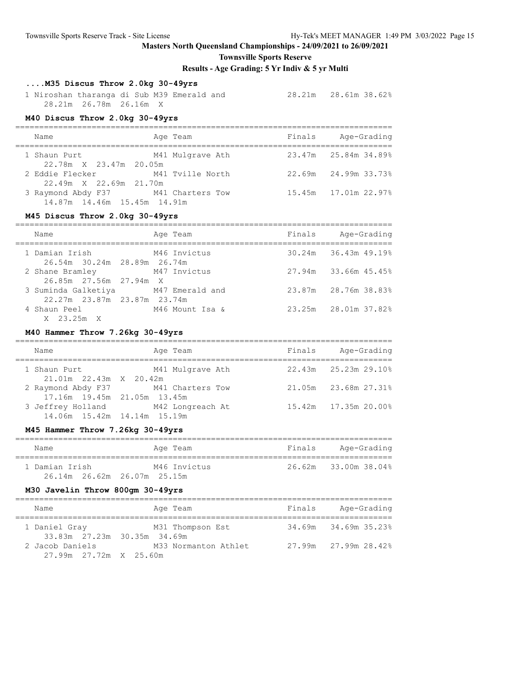**Townsville Sports Reserve**

**Results - Age Grading: 5 Yr Indiv & 5 yr Multi**

## **....M35 Discus Throw 2.0kg 30-49yrs**

 1 Niroshan tharanga di Sub M39 Emerald and 28.21m 28.61m 38.62% 28.21m 26.78m 26.16m X

#### **M40 Discus Throw 2.0kg 30-49yrs**

| Name                                                               | Age Team         | Finals | Age-Grading          |
|--------------------------------------------------------------------|------------------|--------|----------------------|
| 1 Shaun Purt<br>22.78m X 23.47m 20.05m                             | M41 Mulgrave Ath |        | 23.47m 25.84m 34.89% |
| 2 Eddie Flecker<br>22.49m X 22.69m 21.70m                          | M41 Tville North |        | 22.69m 24.99m 33.73% |
| 3 Raymond Abdy F37 M41 Charters Tow<br>14.87m 14.46m 15.45m 14.91m |                  |        | 15.45m 17.01m 22.97% |

#### **M45 Discus Throw 2.0kg 30-49yrs**

| Name                                                               | Age Team        | Finals | Age-Grading                 |
|--------------------------------------------------------------------|-----------------|--------|-----------------------------|
| 1 Damian Irish<br>26.54m 30.24m 28.89m 26.74m                      | M46 Invictus    |        | $30.24m$ $36.43m$ $49.19\%$ |
| 2 Shane Bramley M47 Invictus<br>26.85m 27.56m 27.94m X             |                 |        | 27.94m 33.66m 45.45%        |
| 3 Suminda Galketiya M47 Emerald and<br>22.27m 23.87m 23.87m 23.74m |                 |        | 23.87m 28.76m 38.83%        |
| 4 Shaun Peel<br>X 23.25m X                                         | M46 Mount Isa & |        | 23.25m 28.01m 37.82%        |

#### **M40 Hammer Throw 7.26kg 30-49yrs**

| Name                                           | Age Team                            | Finals | Age-Grading            |
|------------------------------------------------|-------------------------------------|--------|------------------------|
| 1 Shaun Purt<br>$21.01m$ $22.43m$ $X$ $20.42m$ | M41 Mulgrave Ath                    |        | 22.43m 25.23m 29.10%   |
| 17.16m 19.45m 21.05m 13.45m                    | 2 Raymond Abdy F37 M41 Charters Tow |        | 21.05m 23.68m 27.31%   |
| 14.06m 15.42m 14.14m 15.19m                    | 3 Jeffrey Holland M42 Longreach At  |        | 15.42m  17.35m  20.00% |

## **M45 Hammer Throw 7.26kg 30-49yrs**

| Name           | Age Team     | Finals | Age-Grading          |
|----------------|--------------|--------|----------------------|
| 1 Damian Irish | M46 Invictus |        | 26.62m 33.00m 38.04% |

#### **M30 Javelin Throw 800gm 30-49yrs**

| Name                                         |  | Age Team             | Finals | Age-Grading          |  |  |  |
|----------------------------------------------|--|----------------------|--------|----------------------|--|--|--|
| 1 Daniel Gray<br>33.83m 27.23m 30.35m 34.69m |  | M31 Thompson Est     |        | 34.69m 34.69m 35.23% |  |  |  |
| 2 Jacob Daniels<br>27.99m 27.72m X 25.60m    |  | M33 Normanton Athlet |        | 27.99m 27.99m 28.42% |  |  |  |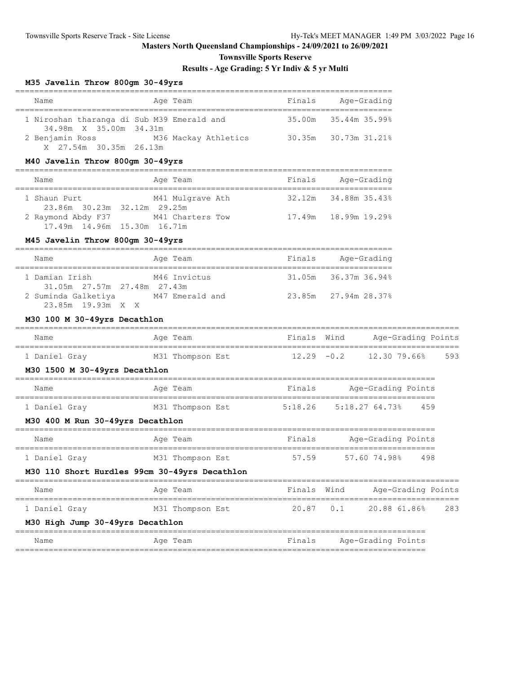## **Townsville Sports Reserve**

## **Results - Age Grading: 5 Yr Indiv & 5 yr Multi**

## **M35 Javelin Throw 800gm 30-49yrs**

| Name                                       | Age Team             | Finals | Age-Grading          |  |  |  |  |
|--------------------------------------------|----------------------|--------|----------------------|--|--|--|--|
|                                            |                      |        |                      |  |  |  |  |
| 1 Niroshan tharanga di Sub M39 Emerald and |                      |        | 35.00m 35.44m 35.99% |  |  |  |  |
| 34.98m X 35.00m 34.31m                     |                      |        |                      |  |  |  |  |
| 2 Benjamin Ross                            | M36 Mackay Athletics |        | 30.35m 30.73m 31.21% |  |  |  |  |
| X 27.54m 30.35m 26.13m                     |                      |        |                      |  |  |  |  |

## **M40 Javelin Throw 800gm 30-49yrs**

| Name                                              | Age Team         | Finals | Age-Grading          |
|---------------------------------------------------|------------------|--------|----------------------|
| 1 Shaun Purt<br>23.86m 30.23m 32.12m 29.25m       | M41 Mulgrave Ath |        | 32.12m 34.88m 35.43% |
| 2 Raymond Abdy F37<br>17.49m 14.96m 15.30m 16.71m | M41 Charters Tow |        | 17.49m 18.99m 19.29% |

## **M45 Javelin Throw 800gm 30-49yrs**

| Name                                          |  | Age Team        |  | Finals | Age-Grading          |  |
|-----------------------------------------------|--|-----------------|--|--------|----------------------|--|
| 1 Damian Irish<br>31.05m 27.57m 27.48m 27.43m |  | M46 Invictus    |  |        | 31.05m 36.37m 36.94% |  |
| 2 Suminda Galketiya<br>23.85m 19.93m X X      |  | M47 Emerald and |  |        | 23.85m 27.94m 28.37% |  |

## **M30 100 M 30-49yrs Decathlon**

| Name                                          | Age Team         | Finals Wind | Age-Grading Points                               |  |
|-----------------------------------------------|------------------|-------------|--------------------------------------------------|--|
| 1 Daniel Gray                                 | M31 Thompson Est |             | $12.29 -0.2$ $12.30$ $79.66$ <sup>2</sup><br>593 |  |
| M30 1500 M 30-49yrs Decathlon                 |                  |             |                                                  |  |
| Name                                          | Age Team         | Finals      | Age-Grading Points                               |  |
| 1 Daniel Gray                                 | M31 Thompson Est | 5:18.26     | 5:18.2764.73%<br>459                             |  |
| M30 400 M Run 30-49yrs Decathlon              |                  |             |                                                  |  |
| Name                                          | Age Team         | Finals      | Age-Grading Points                               |  |
| 1 Daniel Gray                                 | M31 Thompson Est | 57.59       | 57.60 74.98% 498                                 |  |
| M30 110 Short Hurdles 99cm 30-49yrs Decathlon |                  |             |                                                  |  |
| Name                                          | Age Team         | Finals Wind | Age-Grading Points                               |  |
| 1 Daniel Gray                                 | M31 Thompson Est |             | 20.87 0.1 20.88 61.86% 283                       |  |
| M30 High Jump 30-49yrs Decathlon              |                  |             |                                                  |  |
| Name                                          | Age Team         | Finals      | Age-Grading Points                               |  |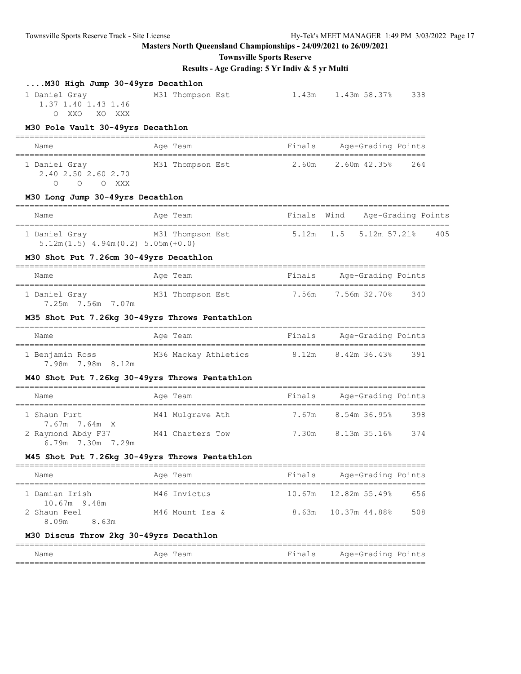# **Townsville Sports Reserve**

| M30 Pole Vault 30-49yrs Decathlon<br>Age Team<br>Finals<br>Age-Grading Points<br>Name<br>2.60m 2.60m 42.35%<br>M31 Thompson Est<br>264<br>1 Daniel Gray<br>2.40 2.50 2.60 2.70<br>O O O XXX<br>M30 Long Jump 30-49yrs Decathlon<br>Finals Wind Age-Grading Points<br>Age Team<br>Name<br>1 Daniel Gray M31 Thompson Est<br>5.12m  1.5  5.12m  57.21%  405<br>$5.12m(1.5)$ $4.94m(0.2)$ $5.05m(+0.0)$<br>M30 Shot Put 7.26cm 30-49yrs Decathlon<br>Finals Age-Grading Points<br>Age Team<br>Name<br>1 Daniel Gray 61 M31 Thompson Est 7.56m 7.56m 32.70% 340<br>7.25m 7.56m 7.07m<br>M35 Shot Put 7.26kg 30-49yrs Throws Pentathlon<br>Finals Age-Grading Points<br>Name<br>Age Team<br>1 Benjamin Ross M36 Mackay Athletics 8.12m 8.42m 36.43% 391<br>7.98m 7.98m 8.12m<br>M40 Shot Put 7.26kg 30-49yrs Throws Pentathlon<br>Name<br>Age Team<br>Finals Age-Grading Points<br>7.67m 8.54m 36.95%<br>1 Shaun Purt<br>- 398<br>M41 Mulgrave Ath<br>7.67m 7.64m X<br>2 Raymond Abdy F37 M41 Charters Tow 7.30m 8.13m 35.16% 374<br>6.79m 7.30m 7.29m<br>M45 Shot Put 7.26kg 30-49vrs Throws Pentathlon<br>Age-Grading Points<br>Finals<br>Name<br>Age Team<br>12.82m 55.49%<br>M46 Invictus<br>656<br>1 Damian Irish<br>10.67m<br>10.67m 9.48m<br>2 Shaun Peel<br>8.63m<br>10.37m 44.88%<br>508<br>M46 Mount Isa &<br>8.63m<br>8.09m<br>M30 Discus Throw 2kg 30-49yrs Decathlon<br>Finals<br>Age-Grading Points<br>Name<br>Aqe Team | M30 High Jump 30-49yrs Decathlon<br>1 Daniel Gray<br>1.37 1.40 1.43 1.46<br>O XXO XO XXX | M31 Thompson Est | 1.43m 1.43m 58.37% 338 |  |
|----------------------------------------------------------------------------------------------------------------------------------------------------------------------------------------------------------------------------------------------------------------------------------------------------------------------------------------------------------------------------------------------------------------------------------------------------------------------------------------------------------------------------------------------------------------------------------------------------------------------------------------------------------------------------------------------------------------------------------------------------------------------------------------------------------------------------------------------------------------------------------------------------------------------------------------------------------------------------------------------------------------------------------------------------------------------------------------------------------------------------------------------------------------------------------------------------------------------------------------------------------------------------------------------------------------------------------------------------------------------------------------------------------------------------------|------------------------------------------------------------------------------------------|------------------|------------------------|--|
|                                                                                                                                                                                                                                                                                                                                                                                                                                                                                                                                                                                                                                                                                                                                                                                                                                                                                                                                                                                                                                                                                                                                                                                                                                                                                                                                                                                                                                  |                                                                                          |                  |                        |  |
|                                                                                                                                                                                                                                                                                                                                                                                                                                                                                                                                                                                                                                                                                                                                                                                                                                                                                                                                                                                                                                                                                                                                                                                                                                                                                                                                                                                                                                  |                                                                                          |                  |                        |  |
|                                                                                                                                                                                                                                                                                                                                                                                                                                                                                                                                                                                                                                                                                                                                                                                                                                                                                                                                                                                                                                                                                                                                                                                                                                                                                                                                                                                                                                  |                                                                                          |                  |                        |  |
|                                                                                                                                                                                                                                                                                                                                                                                                                                                                                                                                                                                                                                                                                                                                                                                                                                                                                                                                                                                                                                                                                                                                                                                                                                                                                                                                                                                                                                  |                                                                                          |                  |                        |  |
|                                                                                                                                                                                                                                                                                                                                                                                                                                                                                                                                                                                                                                                                                                                                                                                                                                                                                                                                                                                                                                                                                                                                                                                                                                                                                                                                                                                                                                  |                                                                                          |                  |                        |  |
|                                                                                                                                                                                                                                                                                                                                                                                                                                                                                                                                                                                                                                                                                                                                                                                                                                                                                                                                                                                                                                                                                                                                                                                                                                                                                                                                                                                                                                  |                                                                                          |                  |                        |  |
|                                                                                                                                                                                                                                                                                                                                                                                                                                                                                                                                                                                                                                                                                                                                                                                                                                                                                                                                                                                                                                                                                                                                                                                                                                                                                                                                                                                                                                  |                                                                                          |                  |                        |  |
|                                                                                                                                                                                                                                                                                                                                                                                                                                                                                                                                                                                                                                                                                                                                                                                                                                                                                                                                                                                                                                                                                                                                                                                                                                                                                                                                                                                                                                  |                                                                                          |                  |                        |  |
|                                                                                                                                                                                                                                                                                                                                                                                                                                                                                                                                                                                                                                                                                                                                                                                                                                                                                                                                                                                                                                                                                                                                                                                                                                                                                                                                                                                                                                  |                                                                                          |                  |                        |  |
|                                                                                                                                                                                                                                                                                                                                                                                                                                                                                                                                                                                                                                                                                                                                                                                                                                                                                                                                                                                                                                                                                                                                                                                                                                                                                                                                                                                                                                  |                                                                                          |                  |                        |  |
|                                                                                                                                                                                                                                                                                                                                                                                                                                                                                                                                                                                                                                                                                                                                                                                                                                                                                                                                                                                                                                                                                                                                                                                                                                                                                                                                                                                                                                  |                                                                                          |                  |                        |  |
|                                                                                                                                                                                                                                                                                                                                                                                                                                                                                                                                                                                                                                                                                                                                                                                                                                                                                                                                                                                                                                                                                                                                                                                                                                                                                                                                                                                                                                  |                                                                                          |                  |                        |  |
|                                                                                                                                                                                                                                                                                                                                                                                                                                                                                                                                                                                                                                                                                                                                                                                                                                                                                                                                                                                                                                                                                                                                                                                                                                                                                                                                                                                                                                  |                                                                                          |                  |                        |  |
|                                                                                                                                                                                                                                                                                                                                                                                                                                                                                                                                                                                                                                                                                                                                                                                                                                                                                                                                                                                                                                                                                                                                                                                                                                                                                                                                                                                                                                  |                                                                                          |                  |                        |  |
|                                                                                                                                                                                                                                                                                                                                                                                                                                                                                                                                                                                                                                                                                                                                                                                                                                                                                                                                                                                                                                                                                                                                                                                                                                                                                                                                                                                                                                  |                                                                                          |                  |                        |  |
|                                                                                                                                                                                                                                                                                                                                                                                                                                                                                                                                                                                                                                                                                                                                                                                                                                                                                                                                                                                                                                                                                                                                                                                                                                                                                                                                                                                                                                  |                                                                                          |                  |                        |  |
|                                                                                                                                                                                                                                                                                                                                                                                                                                                                                                                                                                                                                                                                                                                                                                                                                                                                                                                                                                                                                                                                                                                                                                                                                                                                                                                                                                                                                                  |                                                                                          |                  |                        |  |
|                                                                                                                                                                                                                                                                                                                                                                                                                                                                                                                                                                                                                                                                                                                                                                                                                                                                                                                                                                                                                                                                                                                                                                                                                                                                                                                                                                                                                                  |                                                                                          |                  |                        |  |
|                                                                                                                                                                                                                                                                                                                                                                                                                                                                                                                                                                                                                                                                                                                                                                                                                                                                                                                                                                                                                                                                                                                                                                                                                                                                                                                                                                                                                                  |                                                                                          |                  |                        |  |
|                                                                                                                                                                                                                                                                                                                                                                                                                                                                                                                                                                                                                                                                                                                                                                                                                                                                                                                                                                                                                                                                                                                                                                                                                                                                                                                                                                                                                                  |                                                                                          |                  |                        |  |
|                                                                                                                                                                                                                                                                                                                                                                                                                                                                                                                                                                                                                                                                                                                                                                                                                                                                                                                                                                                                                                                                                                                                                                                                                                                                                                                                                                                                                                  |                                                                                          |                  |                        |  |
|                                                                                                                                                                                                                                                                                                                                                                                                                                                                                                                                                                                                                                                                                                                                                                                                                                                                                                                                                                                                                                                                                                                                                                                                                                                                                                                                                                                                                                  |                                                                                          |                  |                        |  |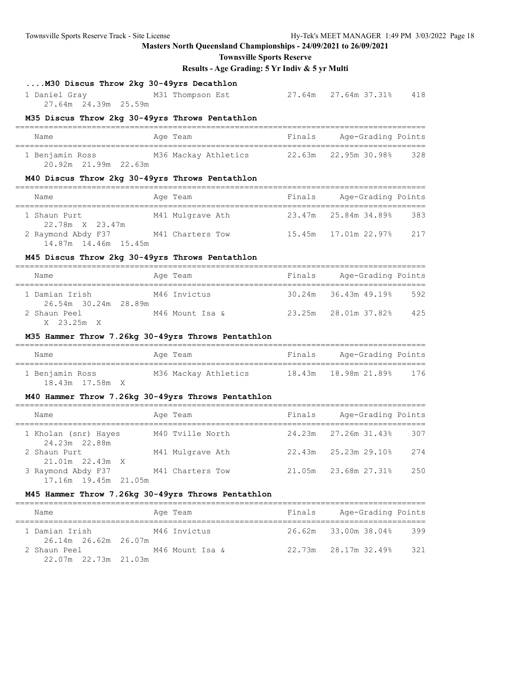**Townsville Sports Reserve**

## **Results - Age Grading: 5 Yr Indiv & 5 yr Multi**

# **....M30 Discus Throw 2kg 30-49yrs Decathlon**

 1 Daniel Gray M31 Thompson Est 27.64m 27.64m 37.31% 418 27.64m 24.39m 25.59m

#### **M35 Discus Throw 2kg 30-49yrs Throws Pentathlon**

| Name            |                      |  | Age Team |                      | Finals |                      | Age-Grading Points |     |
|-----------------|----------------------|--|----------|----------------------|--------|----------------------|--------------------|-----|
| 1 Benjamin Ross |                      |  |          | M36 Mackay Athletics |        | 22.63m 22.95m 30.98% |                    | 328 |
|                 | 20.92m 21.99m 22.63m |  |          |                      |        |                      |                    |     |

#### **M40 Discus Throw 2kg 30-49yrs Throws Pentathlon**

| Name                                       | Age Team         | Finals | Age-Grading Points         |     |
|--------------------------------------------|------------------|--------|----------------------------|-----|
| 1 Shaun Purt<br>22.78m X 23.47m            | M41 Mulgrave Ath |        | 23.47m 25.84m 34.89%       | 383 |
| 2 Raymond Abdy F37<br>14.87m 14.46m 15.45m | M41 Charters Tow |        | 15.45m    17.01m    22.97% | 217 |

#### **M45 Discus Throw 2kg 30-49yrs Throws Pentathlon**

| Name                                   | Age Team        | Finals | Age-Grading Points         |     |
|----------------------------------------|-----------------|--------|----------------------------|-----|
| 1 Damian Irish<br>26.54m 30.24m 28.89m | M46 Invictus    |        | $30.24m$ $36.43m$ $49.198$ | 592 |
| 2 Shaun Peel<br>X 23.25m X             | M46 Mount Isa & |        | 23.25m 28.01m 37.82%       | 425 |

#### **M35 Hammer Throw 7.26kg 30-49yrs Throws Pentathlon**

| Name            | Age Team             | Age-Grading Points<br>Finals |
|-----------------|----------------------|------------------------------|
| 1 Benjamin Ross | M36 Mackay Athletics | 18.43m 18.98m 21.89%<br>176  |
| 18.43m 17.58m X |                      |                              |

#### **M40 Hammer Throw 7.26kg 30-49yrs Throws Pentathlon**

| Name                                       | Age Team         | Finals | Age-Grading Points                 |
|--------------------------------------------|------------------|--------|------------------------------------|
| 1 Kholan (snr) Hayes<br>24.23m 22.88m      | M40 Tville North |        | 24.23m 27.26m 31.43%<br>307        |
| 2 Shaun Purt<br>$21.01m$ $22.43m$ X        | M41 Mulgrave Ath |        | $22.43m$ $25.23m$ $29.10\%$<br>274 |
| 3 Raymond Abdy F37<br>17.16m 19.45m 21.05m | M41 Charters Tow | 21.05m | 250<br>23.68m 27.31%               |

#### **M45 Hammer Throw 7.26kg 30-49yrs Throws Pentathlon**

| Name                                   | Age Team        | Finals | Age-Grading Points   |     |
|----------------------------------------|-----------------|--------|----------------------|-----|
| 1 Damian Irish<br>26.14m 26.62m 26.07m | M46 Invictus    |        | 26.62m 33.00m 38.04% | 399 |
| 2 Shaun Peel<br>22.07m 22.73m 21.03m   | M46 Mount Isa & |        | 22.73m 28.17m 32.49% | 321 |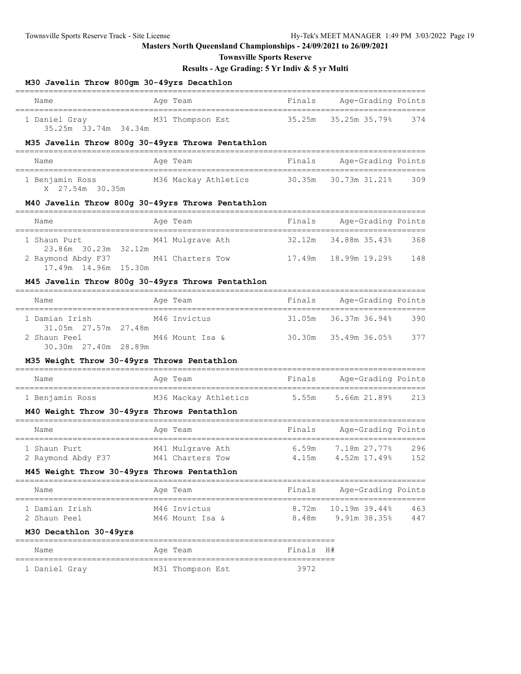**Townsville Sports Reserve**

| M30 Javelin Throw 800gm 30-49yrs Decathlon                                            |                                                                                |                |                               |            |
|---------------------------------------------------------------------------------------|--------------------------------------------------------------------------------|----------------|-------------------------------|------------|
| Name                                                                                  | Age Team                                                                       |                | Finals Age-Grading Points     |            |
| 1 Daniel Gray M31 Thompson Est<br>35.25m 33.74m 34.34m                                |                                                                                | 35.25m         | 35.25m 35.79%                 | 374        |
|                                                                                       | M35 Javelin Throw 800g 30-49yrs Throws Pentathlon                              |                |                               |            |
| Name                                                                                  | Age Team                                                                       | Finals         | Age-Grading Points            |            |
| X 27.54m 30.35m                                                                       | 1 Benjamin Ross M36 Mackay Athletics 30.35m 30.73m 31.21%                      |                | ----------------------        | 309        |
|                                                                                       | M40 Javelin Throw 800g 30-49yrs Throws Pentathlon                              |                |                               |            |
| Name                                                                                  | Age Team                                                                       | Finals         | Age-Grading Points            |            |
| 1 Shaun Purt                                                                          | M41 Mulgrave Ath 32.12m 34.88m 35.43%                                          |                |                               | 368        |
| 23.86m 30.23m 32.12m<br>2 Raymond Abdy F37 M41 Charters Tow<br>17.49m  14.96m  15.30m |                                                                                |                | 17.49m  18.99m  19.29%        | 148        |
|                                                                                       | M45 Javelin Throw 800g 30-49yrs Throws Pentathlon                              |                |                               |            |
| Name                                                                                  | Age Team                                                                       | Finals         | Age-Grading Points            |            |
| 1 Damian Irish                                                                        | M46 Invictus                                                                   |                | 31.05m 36.37m 36.94%          | 390        |
| 31.05m  27.57m  27.48m<br>2 Shaun Peel<br>30.30m 27.40m 28.89m                        | M46 Mount Isa &                                                                |                | 30.30m 35.49m 36.05%          | 377        |
| M35 Weight Throw 30-49yrs Throws Pentathlon                                           |                                                                                |                |                               |            |
| Name                                                                                  | Age Team                                                                       |                | Finals Age-Grading Points     |            |
| 1 Benjamin Ross                                                                       | M36 Mackay Athletics 5.55m 5.66m 21.89% 213                                    |                |                               |            |
| M40 Weight Throw 30-49yrs Throws Pentathlon                                           |                                                                                |                |                               |            |
| Name                                                                                  | Age Team                                                                       |                | Finals Age-Grading Points     |            |
| 1 Shaun Purt                                                                          | M41 Mulgrave Ath<br>2 Raymond Abdy F37 M41 Charters Tow 4.15m 4.52m 17.49% 152 |                | $6.59m$ $7.18m$ $27.77\%$     | 296        |
| M45 Weight Throw 30-49yrs Throws Pentathlon                                           |                                                                                |                |                               |            |
| Name                                                                                  | Age Team                                                                       | Finals         | Age-Grading Points            |            |
| 1 Damian Irish<br>2 Shaun Peel                                                        | M46 Invictus<br>M46 Mount Isa &                                                | 8.72m<br>8.48m | 10.19m 39.44%<br>9.91m 38.35% | 463<br>447 |
| M30 Decathlon 30-49yrs                                                                |                                                                                |                |                               |            |

| Name          | Age Team         | Finals H# |
|---------------|------------------|-----------|
| 1 Daniel Gray | M31 Thompson Est | 3972      |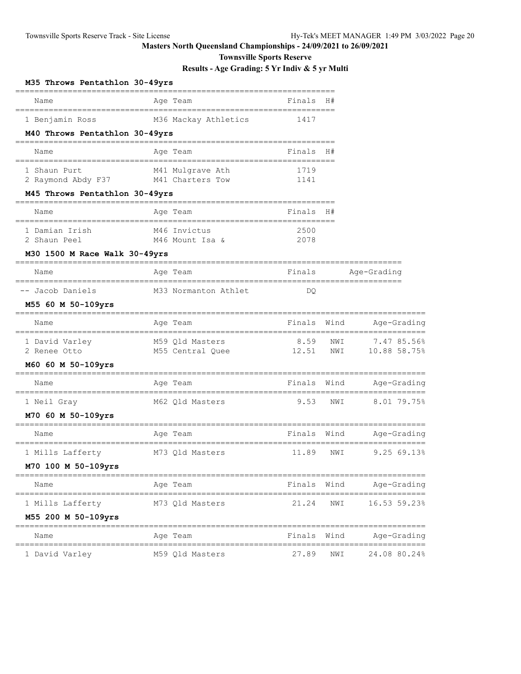**Townsville Sports Reserve**

| M35 Throws Pentathlon 30-49yrs                      |                                             |                           |            |                                 |
|-----------------------------------------------------|---------------------------------------------|---------------------------|------------|---------------------------------|
| Name                                                | Age Team                                    | Finals                    | H#         |                                 |
| 1 Benjamin Ross                                     | M36 Mackay Athletics                        | 1417                      |            |                                 |
| M40 Throws Pentathlon 30-49yrs                      |                                             |                           |            |                                 |
| Name                                                | Age Team                                    | Finals                    | H#         |                                 |
| 1 Shaun Purt<br>2 Raymond Abdy F37 M41 Charters Tow | M41 Mulgrave Ath                            | 1719<br>1141              |            |                                 |
| M45 Throws Pentathlon 30-49yrs                      |                                             |                           |            |                                 |
| Name                                                | Age Team                                    | Finals                    | H#         |                                 |
| 1 Damian Irish<br>2 Shaun Peel                      | M46 Invictus<br>M46 Mount Isa &             | 2500<br>2078              |            |                                 |
| M30 1500 M Race Walk 30-49yrs                       |                                             |                           |            |                                 |
| Name                                                | Age Team                                    | Finals                    |            | Age-Grading                     |
| -- Jacob Daniels                                    | M33 Normanton Athlet                        | DQ.                       |            |                                 |
| M55 60 M 50-109yrs                                  |                                             |                           |            |                                 |
| Name                                                | Age Team                                    | Finals                    | Wind       | Age-Grading                     |
| 1 David Varley<br>2 Renee Otto                      | M59 Qld Masters<br>M55 Central Quee         | 8.59<br>12.51             | NWI<br>NWI | 7.47 85.56%<br>$10.88$ 58.75%   |
| M60 60 M 50-109yrs                                  |                                             |                           |            |                                 |
| Name                                                | Age Team                                    | Finals                    | Wind       | Age-Grading                     |
| 1 Neil Gray                                         | M62 Qld Masters                             | 9.53                      | NWI        | 8.01 79.75%                     |
| M70 60 M 50-109yrs<br>Name                          | Age Team                                    | Finals                    | Wind       | Age-Grading                     |
| 1 Mills Lafferty                                    | M73 Qld Masters                             | 11.89                     | NWI        | 9.25 69.13%                     |
| M70 100 M 50-109yrs                                 |                                             |                           |            |                                 |
| Name                                                | Age Team                                    | Finals                    | Wind       | Age-Grading                     |
| 1 Mills Lafferty                                    | M73 Qld Masters                             | ================<br>21.24 | NWI        | ==============<br>16.53 59.23%  |
| M55 200 M 50-109yrs<br>------------                 | ====================<br>=================== |                           |            | __________________              |
| Name                                                | Age Team                                    | Finals                    | Wind       | Age-Grading                     |
| 1 David Varley                                      | M59 Qld Masters                             | ===========<br>27.89      | NWI        | ,,,,,,,,,,,,,,,<br>24.08 80.24% |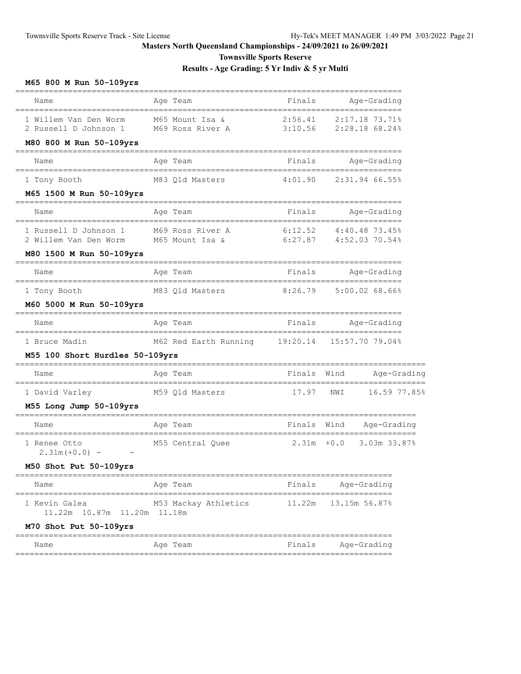**Townsville Sports Reserve**

**Results - Age Grading: 5 Yr Indiv & 5 yr Multi**

# **M65 800 M Run 50-109yrs**

| Name                                                                      | Age Team                                                                                                                                                                                         | Finals             | Age-Grading                            |
|---------------------------------------------------------------------------|--------------------------------------------------------------------------------------------------------------------------------------------------------------------------------------------------|--------------------|----------------------------------------|
| 1 Willem Van Den Worm<br>2 Russell D Johnson 1<br>M80 800 M Run 50-109yrs | M65 Mount Isa &<br>M69 Ross River A                                                                                                                                                              | 2:56.41<br>3:10.56 | 2:17.18 73.71%<br>2:28.18 68.24%       |
| Name                                                                      | Age Team                                                                                                                                                                                         | Finals             | Age-Grading                            |
| 1 Tony Booth                                                              | M83 Qld Masters                                                                                                                                                                                  | 4:01.90            | 2:31.94 66.55%                         |
| M65 1500 M Run 50-109yrs                                                  |                                                                                                                                                                                                  |                    |                                        |
| Name                                                                      | Age Team                                                                                                                                                                                         | Finals             | Age-Grading                            |
| 1 Russell D Johnson 1                                                     | ________________<br>_______________________<br>M69 Ross River A<br>1 Russell D Johnson 1 M69 Ross River A 6:12.52 4:40.48 73.45%<br>2 Willem Van Den Worm M65 Mount Isa & 6:27.87 4:52.03 70.54% | 6:12.52            | ====================<br>4:40.48 73.45% |
| M80 1500 M Run 50-109yrs                                                  |                                                                                                                                                                                                  |                    |                                        |
| Name                                                                      | Age Team                                                                                                                                                                                         | Finals             | Age-Grading                            |
| 1 Tony Booth<br>M60 5000 M Run 50-109yrs                                  | M83 Qld Masters                                                                                                                                                                                  | 8:26.79            | 5:00.0268.66                           |
| Name                                                                      | Age Team                                                                                                                                                                                         |                    | Finals Age-Grading                     |
| 1 Bruce Madin<br>M55 100 Short Hurdles 50-109yrs                          | M62 Red Earth Running 19:20.14 15:57.70 79.04%                                                                                                                                                   |                    | =====================                  |
| Name                                                                      | Age Team                                                                                                                                                                                         | Finals             | Wind<br>Age-Grading                    |
| 1 David Varley<br>M55 Long Jump 50-109yrs                                 | ==============================<br>M59 Qld Masters                                                                                                                                                | 17.97              | NWI<br>16.59 77.85%                    |
| Name                                                                      | Age Team                                                                                                                                                                                         | Finals Wind        | Age-Grading                            |
| 1 Renee Otto<br>$2.31m (+0.0) -$                                          | ______________________<br>M55 Central Quee                                                                                                                                                       | 2.31m              | $+0.0$<br>3.03m 33.87%                 |
| M50 Shot Put 50-109yrs                                                    | =========                                                                                                                                                                                        |                    | ________________________               |
| Name                                                                      | Age Team                                                                                                                                                                                         | Finals             | Age-Grading                            |
| 1 Kevin Galea<br>11.22m 10.87m<br>11.20m                                  | M53 Mackay Athletics<br>11.18m                                                                                                                                                                   | 11.22m             | 13.15m 56.87%                          |
| M70 Shot Put 50-109yrs<br>==========                                      | ----------                                                                                                                                                                                       |                    |                                        |
| Name                                                                      | Age Team                                                                                                                                                                                         | Finals             | Age-Grading                            |
|                                                                           |                                                                                                                                                                                                  |                    |                                        |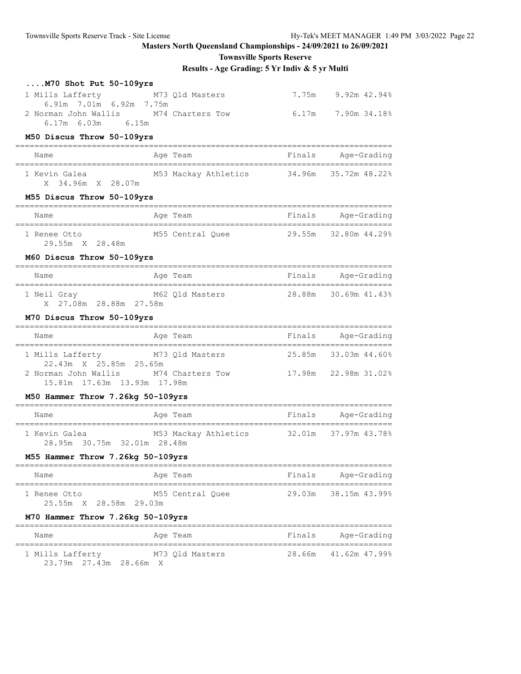**Townsville Sports Reserve**

| $\ldots$ M70 Shot Put 50-109yrs                                                                                        |                                               |                          |
|------------------------------------------------------------------------------------------------------------------------|-----------------------------------------------|--------------------------|
| 1 Mills Lafferty                                                                                                       | M73 Qld Masters                               | 7.75m 9.92m 42.94%       |
| 6.91m 7.01m 6.92m 7.75m<br>2 Norman John Wallis M74 Charters Tow<br>$6.17m$ $6.03m$ $6.15m$                            |                                               | $6.17m$ $7.90m$ $34.188$ |
| M50 Discus Throw 50-109yrs                                                                                             |                                               |                          |
| Name                                                                                                                   | Age Team                                      | Finals Age-Grading       |
| 1 Kevin Galea M53 Mackay Athletics 34.96m 35.72m 48.22%<br>X 34.96m X 28.07m                                           |                                               |                          |
| M55 Discus Throw 50-109yrs                                                                                             |                                               |                          |
| Name                                                                                                                   | Age Team                                      | Finals Age-Grading       |
| 1 Renee Otto 6 155 Central Quee 6 29.55m 32.80m 44.29%<br>29.55m X 28.48m                                              |                                               |                          |
| M60 Discus Throw 50-109yrs                                                                                             |                                               |                          |
| Name                                                                                                                   | Age Team                                      | Finals Age-Grading       |
| 1 Neil Gray 62 01d Masters 28.88m 30.69m 41.43%<br>X 27.08m 28.88m 27.58m                                              |                                               |                          |
| M70 Discus Throw 50-109yrs                                                                                             |                                               |                          |
| Name                                                                                                                   | Age Team <b>Example 20</b> Finals Age-Grading |                          |
| 1 Mills Lafferty M73 Qld Masters 25.85m 33.03m 44.60%                                                                  |                                               |                          |
| 22.43m X 25.85m 25.65m<br>2 Norman John Wallis M74 Charters Tow 17.98m 22.98m 31.02%<br>15.81m  17.63m  13.93m  17.98m |                                               |                          |
| M50 Hammer Throw 7.26kg 50-109yrs                                                                                      |                                               |                          |
|                                                                                                                        |                                               |                          |
| 1 Kevin Galea M53 Mackay Athletics 32.01m 37.97m 43.78%<br>28.95m 30.75m 32.01m 28.48m                                 |                                               |                          |
| M55 Hammer Throw 7.26kg 50-109yrs                                                                                      |                                               |                          |
| Name                                                                                                                   | Aqe Team                                      | Finals Age-Grading       |
| 1 Renee Otto<br>25.55m X 28.58m 29.03m                                                                                 | M55 Central Ouee                              | 29.03m 38.15m 43.99%     |
| M70 Hammer Throw 7.26kg 50-109yrs                                                                                      |                                               |                          |
| Name                                                                                                                   | Age Team                                      | Finals Age-Grading       |
| 1 Mills Lafferty M73 Qld Masters<br>23.79m 27.43m 28.66m X                                                             |                                               | 28.66m 41.62m 47.99%     |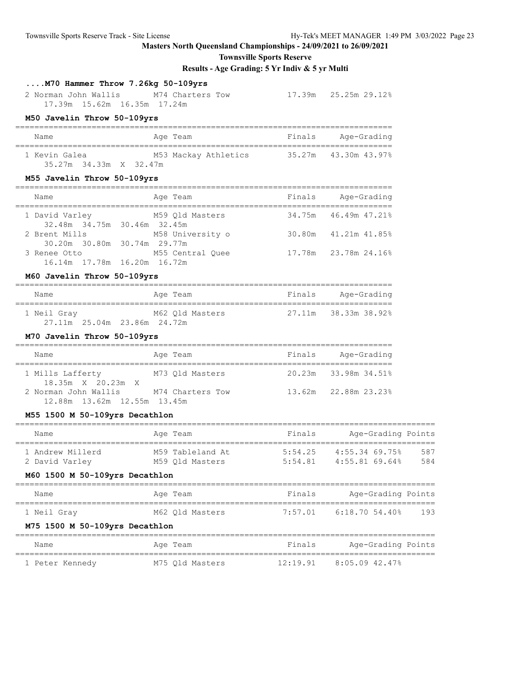**Townsville Sports Reserve**

**Results - Age Grading: 5 Yr Indiv & 5 yr Multi**

## **....M70 Hammer Throw 7.26kg 50-109yrs**

 2 Norman John Wallis M74 Charters Tow 17.39m 25.25m 29.12% 17.39m 15.62m 16.35m 17.24m

#### **M50 Javelin Throw 50-109yrs**

| Name                   | Age Team             | Finals<br>Age-Grading |
|------------------------|----------------------|-----------------------|
| 1 Kevin Galea          | M53 Mackay Athletics | 35.27m 43.30m 43.97%  |
| 35.27m 34.33m X 32.47m |                      |                       |

#### **M55 Javelin Throw 50-109yrs**

| Name                                          | Age Team         | Finals<br>Age-Grading |
|-----------------------------------------------|------------------|-----------------------|
| 1 David Varley<br>32.48m 34.75m 30.46m 32.45m | M59 Old Masters  | 34.75m 46.49m 47.21%  |
| 2 Brent Mills<br>30.20m 30.80m 30.74m 29.77m  | M58 University o | 30.80m 41.21m 41.85%  |
| 3 Renee Otto<br>16.14m 17.78m 16.20m 16.72m   | M55 Central Ouee | 17.78m 23.78m 24.16%  |
|                                               |                  |                       |

#### **M60 Javelin Throw 50-109yrs**

| Name        | Age Team | Finals          | Age-Grading          |
|-------------|----------|-----------------|----------------------|
| 1 Neil Gray |          | M62 Old Masters | 27.11m 38.33m 38.92% |
|             |          |                 |                      |

#### **M70 Javelin Throw 50-109yrs**

| Name                                                | Age Team         | Finals | Age-Grading          |
|-----------------------------------------------------|------------------|--------|----------------------|
| 1 Mills Lafferty<br>18.35m X 20.23m X               | M73 Old Masters  |        | 20.23m 33.98m 34.51% |
| 2 Norman John Wallis<br>12.88m 13.62m 12.55m 13.45m | M74 Charters Tow |        | 13.62m 22.88m 23.23% |

#### **M55 1500 M 50-109yrs Decathlon**

| Name                                                                 | Age Team                            | Finals  | Age-Grading Points                           |            |
|----------------------------------------------------------------------|-------------------------------------|---------|----------------------------------------------|------------|
| 1 Andrew Millerd<br>2 David Varley<br>M60 1500 M 50-109yrs Decathlon | M59 Tableland At<br>M59 Old Masters | 5:54.25 | 4:55.34 69.75%<br>$5:54.81$ $4:55.81$ 69.64% | 587<br>584 |
| Name                                                                 | Age Team                            | Finals  | Age-Grading Points                           |            |
| 1 Neil Gray                                                          | M62 Old Masters                     |         | $7:57.01$ 6:18.70 54.40%                     | 193        |
| M75 1500 M 50-109yrs Decathlon                                       |                                     |         |                                              |            |
| Name                                                                 | Age Team                            | Finals  | Age-Grading Points                           |            |
|                                                                      |                                     |         |                                              |            |

1 Peter Kennedy M75 Qld Masters 12:19.91 8:05.09 42.47%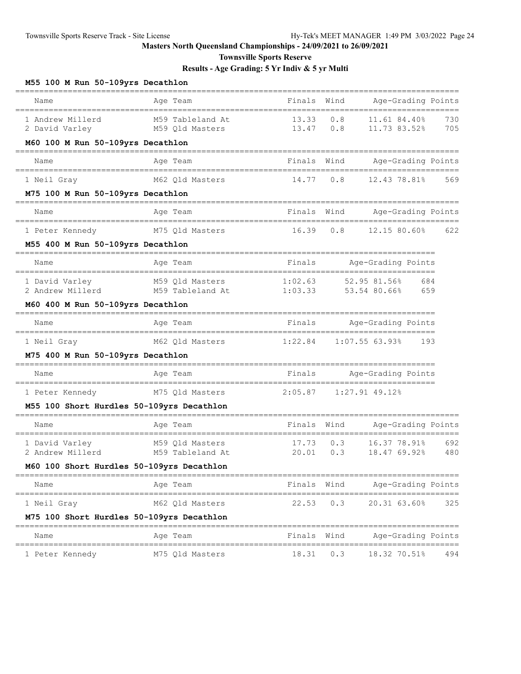**Townsville Sports Reserve**

**Results - Age Grading: 5 Yr Indiv & 5 yr Multi**

## **M55 100 M Run 50-109yrs Decathlon**

| Name                                      | =============<br>Age Team           | Finals Wind        |            | Age-Grading Points                         |            |
|-------------------------------------------|-------------------------------------|--------------------|------------|--------------------------------------------|------------|
| 1 Andrew Millerd<br>2 David Varley        | M59 Tableland At<br>M59 Qld Masters | 13.33<br>13.47     | 0.8<br>0.8 | 11.61 84.40%<br>11.73 83.52%               | 730<br>705 |
| M60 100 M Run 50-109yrs Decathlon         |                                     |                    |            |                                            |            |
| Name                                      | Age Team                            | Finals Wind        |            | Age-Grading Points                         |            |
| 1 Neil Gray                               | M62 Qld Masters                     | 14.77              | 0.8        | 12.43 78.81%                               | 569        |
| M75 100 M Run 50-109yrs Decathlon         |                                     |                    |            |                                            |            |
| Name                                      | Age Team                            | Finals Wind        |            | Age-Grading Points                         |            |
| 1 Peter Kennedy                           | M75 Qld Masters                     | 16.39              | 0.8        | 12.15 80.60%                               | 622        |
| M55 400 M Run 50-109yrs Decathlon         |                                     |                    |            |                                            |            |
| Name                                      | Age Team                            | Finals             |            | Age-Grading Points                         |            |
| 1 David Varley<br>2 Andrew Millerd        | M59 Qld Masters<br>M59 Tableland At | 1:02.63<br>1:03.33 |            | 684<br>52.95 81.56%<br>53.54 80.66%<br>659 |            |
| M60 400 M Run 50-109yrs Decathlon         |                                     |                    |            |                                            |            |
| Name                                      | Age Team                            | Finals             |            | Age-Grading Points                         |            |
| 1 Neil Gray                               | M62 Qld Masters                     | 1:22.84            |            | 1:07.5563.93%<br>193                       |            |
| M75 400 M Run 50-109yrs Decathlon         |                                     |                    |            |                                            |            |
| Name                                      | Age Team                            | Finals             |            | Age-Grading Points                         |            |
| 1 Peter Kennedy                           | M75 Qld Masters                     | 2:05.87            |            | $1:27.91$ 49.12%                           |            |
| M55 100 Short Hurdles 50-109yrs Decathlon |                                     |                    |            |                                            |            |
| Name                                      | Age Team                            | Finals             | Wind       | Age-Grading Points                         |            |
| 1 David Varley<br>2 Andrew Millerd        | M59 Qld Masters<br>M59 Tableland At | 17.73<br>20.01     | 0.3<br>0.3 | 16.37 78.91%<br>18.47 69.92%               | 692<br>480 |
| M60 100 Short Hurdles 50-109yrs Decathlon |                                     |                    |            |                                            |            |
| Name                                      | Age Team                            | Finals Wind        |            | Age-Grading Points                         |            |
| 1 Neil Gray                               | M62 Qld Masters                     | $22.53$ 0.3        |            | 20.31 63.60%                               | 325        |
| M75 100 Short Hurdles 50-109yrs Decathlon |                                     |                    |            |                                            |            |
| Name                                      | Age Team                            | Finals Wind        |            | Age-Grading Points                         |            |
| 1 Peter Kennedy                           | M75 Qld Masters                     | $18.31$ 0.3        |            | 18.32 70.51%                               | 494        |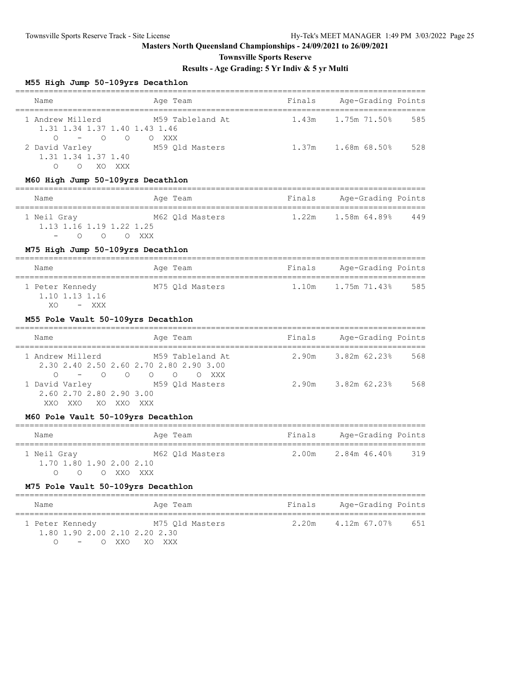**Townsville Sports Reserve**

# **Results - Age Grading: 5 Yr Indiv & 5 yr Multi**

# **M55 High Jump 50-109yrs Decathlon**

| moo nigh oump oo-iosyis becachion                                              |                                                             |        |                           |     |
|--------------------------------------------------------------------------------|-------------------------------------------------------------|--------|---------------------------|-----|
| Name                                                                           | Age Team                                                    | Finals | Age-Grading Points        |     |
| 1 Andrew Millerd<br>1.31 1.34 1.37 1.40 1.43 1.46<br>$-$ 0 0 0 XXX<br>$\Omega$ | M59 Tableland At                                            | 1.43m  | 1.75m 71.50%              | 585 |
| 2 David Varley M59 Qld Masters<br>1.31 1.34 1.37 1.40<br>$\circ$<br>O XO XXX   |                                                             | 1.37m  | 1.68m 68.50%              | 528 |
| M60 High Jump 50-109yrs Decathlon                                              |                                                             |        | __________________        |     |
| Name                                                                           | Age Team                                                    |        | Finals Age-Grading Points |     |
| 1 Neil Gray 62 Qld Masters<br>1.13 1.16 1.19 1.22 1.25<br>$-$ 0 0 0 XXX        |                                                             | 1.22m  | 1.58m 64.89%              | 449 |
| M75 High Jump 50-109yrs Decathlon                                              |                                                             |        | ========================= |     |
| Name                                                                           | Age Team                                                    | Finals | Age-Grading Points        |     |
| 1.10 1.13 1.16<br>– XXX<br>XO.                                                 | 1 Peter Kennedy M75 Qld Masters                             |        |                           |     |
| M55 Pole Vault 50-109yrs Decathlon                                             |                                                             |        |                           |     |
| Name                                                                           | Age Team                                                    |        | Finals Age-Grading Points |     |
| 1 Andrew Millerd<br>$\circ$                                                    | M59 Tableland At<br>2.30 2.40 2.50 2.60 2.70 2.80 2.90 3.00 | 2.90m  | 3.82m 62.23%              | 568 |
| 1 David Varley<br>2.60 2.70 2.80 2.90 3.00<br>XXO XXO XO XXO XXX               | M59 Qld Masters                                             | 2.90m  | 3.82m 62.23%              | 568 |
| M60 Pole Vault 50-109yrs Decathlon                                             |                                                             |        |                           |     |
| Name                                                                           | Age Team                                                    |        | Finals Age-Grading Points |     |
| 1 Neil Gray<br>$1.70$ 1.80 1.90 2.00 2.10<br>0<br>0                            | M62 Qld Masters<br>O XXO XXX                                |        | $2.00m$ $2.84m$ $46.40\%$ | 319 |
| M75 Pole Vault 50-109yrs Decathlon                                             |                                                             |        |                           |     |
| Name                                                                           | Age Team                                                    | Finals | Age-Grading Points        |     |
| 1 Peter Kennedy<br>1.80 1.90 2.00 2.10 2.20 2.30                               | M75 Qld Masters                                             | 2.20m  | 4.12m 67.07%              | 651 |

O - O XXO XO XXX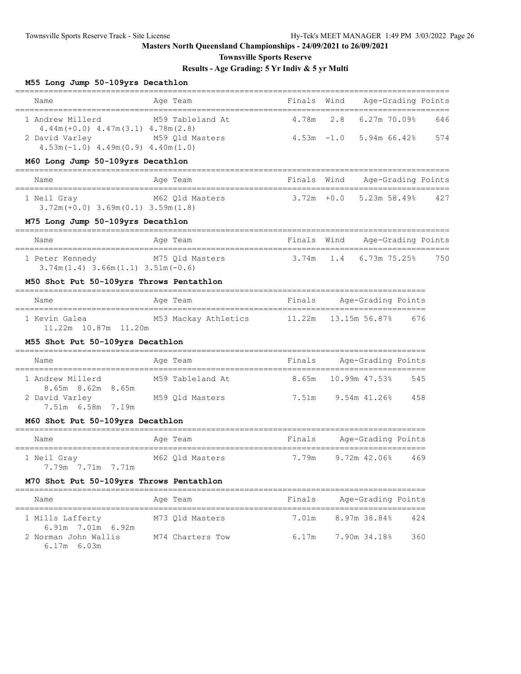**Townsville Sports Reserve**

# **Results - Age Grading: 5 Yr Indiv & 5 yr Multi**

## **M55 Long Jump 50-109yrs Decathlon**

| Name                                                                      | Age Team                    | Finals Wind   |     | Age-Grading Points      |     |     |
|---------------------------------------------------------------------------|-----------------------------|---------------|-----|-------------------------|-----|-----|
| 1 Andrew Millerd<br>$4.44m (+0.0)$ $4.47m(3.1)$ $4.78m(2.8)$              | M59 Tableland At            | 4.78m         | 2.8 | $6.27m$ $70.09%$        |     | 646 |
| 2 David Varley M59 Old Masters<br>$4.53m(-1.0)$ $4.49m(0.9)$ $4.40m(1.0)$ |                             |               |     | 4.53m -1.0 5.94m 66.42% |     | 574 |
| M60 Long Jump 50-109yrs Decathlon                                         |                             |               |     |                         |     |     |
| ______________________________<br>Name                                    | Age Team                    | Finals Wind   |     | Age-Grading Points      |     |     |
| 1 Neil Gray<br>$3.72m (+0.0)$ $3.69m (0.1)$ $3.59m (1.8)$                 | M62 Qld Masters             | $3.72m + 0.0$ |     | 5.23m 58.49%            |     | 427 |
| M75 Long Jump 50-109yrs Decathlon                                         |                             |               |     |                         |     |     |
| Name                                                                      | Age Team                    | Finals Wind   |     | Age-Grading Points      |     |     |
| 1 Peter Kennedy<br>$3.74m(1.4)$ $3.66m(1.1)$ $3.51m(-0.6)$                | M75 Qld Masters             | 3.74m         | 1.4 | $6.73m$ $75.25\%$       |     | 750 |
| M50 Shot Put 50-109yrs Throws Pentathlon                                  |                             |               |     |                         |     |     |
| Name                                                                      | Age Team                    | Finals        |     | Age-Grading Points      |     |     |
| 1 Kevin Galea<br>11.22m 10.87m 11.20m                                     | M53 Mackay Athletics 11.22m |               |     | 13.15m 56.87%           | 676 |     |
| M55 Shot Put 50-109yrs Decathlon                                          |                             |               |     |                         |     |     |
| Name                                                                      | Age Team                    | Finals        |     | Age-Grading Points      |     |     |
| 1 Andrew Millerd<br>8.65m 8.62m 8.65m                                     | M59 Tableland At            | 8.65m         |     | 10.99m 47.53%           | 545 |     |
| 2 David Varley<br>7.51m 6.58m 7.19m                                       | M59 Qld Masters             |               |     | 7.51m 9.54m 41.26%      | 458 |     |
| M60 Shot Put 50-109yrs Decathlon                                          |                             |               |     |                         |     |     |
| Name                                                                      | Age Team                    | Finals        |     | Age-Grading Points      |     |     |
| 1 Neil Gray<br>7.79m 7.71m 7.71m                                          | M62 Old Masters             | 7.79m         |     | $9.72m$ 42.06%          | 469 |     |
| M70 Shot Put 50-109yrs Throws Pentathlon                                  |                             |               |     |                         |     |     |
| Name                                                                      | Age Team                    | Finals        |     | Age-Grading Points      |     |     |
| 1 Mills Lafferty<br>6.91m 7.01m 6.92m                                     | M73 Old Masters             | 7.01m         |     | 8.97m 38.84%            | 424 |     |
| 2 Norman John Wallis<br>$6.17m$ $6.03m$                                   | M74 Charters Tow            | 6.17m         |     | 7.90m 34.18%            | 360 |     |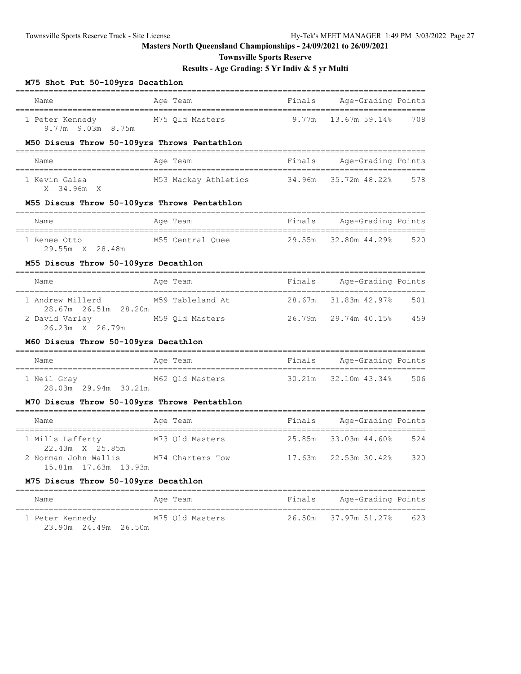**Townsville Sports Reserve**

# **Results - Age Grading: 5 Yr Indiv & 5 yr Multi**

#### **M75 Shot Put 50-109yrs Decathlon**

| Finals Age-Grading Points<br>Name<br>Age Team<br>--------------------------------------<br>=================================<br>___________<br>1 Peter Kennedy M75 Q1d Masters 9.77m<br>13.67m 59.14%<br>9.77m 9.03m 8.75m<br>M50 Discus Throw 50-109yrs Throws Pentathlon<br>Finals<br>Age-Grading Points<br>Name<br>Age Team<br>34.96m<br>1 Kevin Galea<br>M53 Mackay Athletics<br>35.72m 48.22%<br>X 34.96m X<br>M55 Discus Throw 50-109yrs Throws Pentathlon<br>Finals Age-Grading Points<br>Age Team<br>Name<br>======================================<br>M55 Central Quee 29.55m 32.80m 44.29%<br>1 Renee Otto<br>29.55m X 28.48m | 708<br>578 |
|-----------------------------------------------------------------------------------------------------------------------------------------------------------------------------------------------------------------------------------------------------------------------------------------------------------------------------------------------------------------------------------------------------------------------------------------------------------------------------------------------------------------------------------------------------------------------------------------------------------------------------------------|------------|
|                                                                                                                                                                                                                                                                                                                                                                                                                                                                                                                                                                                                                                         |            |
|                                                                                                                                                                                                                                                                                                                                                                                                                                                                                                                                                                                                                                         |            |
|                                                                                                                                                                                                                                                                                                                                                                                                                                                                                                                                                                                                                                         |            |
|                                                                                                                                                                                                                                                                                                                                                                                                                                                                                                                                                                                                                                         |            |
|                                                                                                                                                                                                                                                                                                                                                                                                                                                                                                                                                                                                                                         |            |
|                                                                                                                                                                                                                                                                                                                                                                                                                                                                                                                                                                                                                                         |            |
|                                                                                                                                                                                                                                                                                                                                                                                                                                                                                                                                                                                                                                         |            |
|                                                                                                                                                                                                                                                                                                                                                                                                                                                                                                                                                                                                                                         | 520        |
| M55 Discus Throw 50-109yrs Decathlon                                                                                                                                                                                                                                                                                                                                                                                                                                                                                                                                                                                                    |            |
| Finals Age-Grading Points<br>Age Team<br>Name                                                                                                                                                                                                                                                                                                                                                                                                                                                                                                                                                                                           |            |
| 28.67m<br>1 Andrew Millerd<br>M59 Tableland At                                                                                                                                                                                                                                                                                                                                                                                                                                                                                                                                                                                          | 501        |
| M59 Qld Masters<br>26.79m 29.74m 40.15% 459<br>2 David Varley<br>26.23m X 26.79m                                                                                                                                                                                                                                                                                                                                                                                                                                                                                                                                                        |            |
| M60 Discus Throw 50-109yrs Decathlon<br>=================================                                                                                                                                                                                                                                                                                                                                                                                                                                                                                                                                                               |            |
| Age Team<br>Finals Age-Grading Points<br>Name                                                                                                                                                                                                                                                                                                                                                                                                                                                                                                                                                                                           |            |
| 1 Neil Gray 1987 M62 Qld Masters<br>30.21m 32.10m 43.34%<br>28.03m 29.94m 30.21m                                                                                                                                                                                                                                                                                                                                                                                                                                                                                                                                                        | 506        |
| M70 Discus Throw 50-109yrs Throws Pentathlon                                                                                                                                                                                                                                                                                                                                                                                                                                                                                                                                                                                            |            |
| Finals<br>Age-Grading Points<br>Age Team<br>Name                                                                                                                                                                                                                                                                                                                                                                                                                                                                                                                                                                                        |            |
| 25.85m 33.03m 44.60%<br>1 Mills Lafferty<br>M73 Qld Masters<br>22.43m X 25.85m                                                                                                                                                                                                                                                                                                                                                                                                                                                                                                                                                          | 524        |
| 2 Norman John Wallis M74 Charters Tow<br>$17.63m$ $22.53m$ $30.428$<br>15.81m 17.63m 13.93m                                                                                                                                                                                                                                                                                                                                                                                                                                                                                                                                             | 320        |
| M75 Discus Throw 50-109yrs Decathlon                                                                                                                                                                                                                                                                                                                                                                                                                                                                                                                                                                                                    |            |

| Name                                      | Age Team        | Finals | Age-Grading Points   |     |
|-------------------------------------------|-----------------|--------|----------------------|-----|
| 1 Peter Kennedy<br>23.90m  24.49m  26.50m | M75 Old Masters |        | 26.50m 37.97m 51.27% | 623 |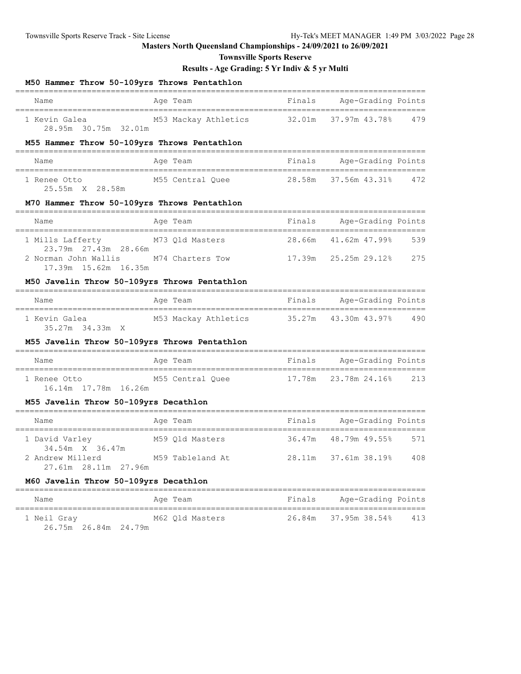26.75m 26.84m 24.79m

# **Masters North Queensland Championships - 24/09/2021 to 26/09/2021**

**Townsville Sports Reserve**

# **Results - Age Grading: 5 Yr Indiv & 5 yr Multi**

| M50 Hammer Throw 50-109yrs Throws Pentathlon   |                                           |        |                           |                    |
|------------------------------------------------|-------------------------------------------|--------|---------------------------|--------------------|
| Name                                           | Age Team                                  | Finals | Age-Grading Points        |                    |
| 1 Kevin Galea<br>28.95m 30.75m 32.01m          | M53 Mackay Athletics                      | 32.01m | 37.97m 43.78%             | 479                |
| M55 Hammer Throw 50-109yrs Throws Pentathlon   |                                           |        |                           | __________         |
| Name<br>---------------------                  | Age Team                                  | Finals | Age-Grading Points        |                    |
| 1 Renee Otto<br>25.55m X 28.58m                | M55 Central Quee                          | 28.58m | 37.56m 43.31%             | 472                |
| M70 Hammer Throw 50-109yrs Throws Pentathlon   |                                           |        |                           |                    |
| Name                                           | Age Team                                  |        | Finals Age-Grading Points |                    |
| 1 Mills Lafferty<br>23.79m  27.43m  28.66m     | M73 Qld Masters                           | 28.66m | 41.62m 47.99%             | 539                |
| 2 Norman John Wallis<br>17.39m  15.62m  16.35m | M74 Charters Tow                          | 17.39m | 25.25m 29.12%             | 275                |
| M50 Javelin Throw 50-109yrs Throws Pentathlon  |                                           |        | =================         |                    |
| Name<br>=====================                  | Age Team                                  | Finals | Age-Grading Points        |                    |
| 1 Kevin Galea<br>35.27m 34.33m X               | M53 Mackay Athletics                      | 35.27m | 43.30m 43.97%             | 490                |
| M55 Javelin Throw 50-109yrs Throws Pentathlon  |                                           |        |                           |                    |
| Name<br>----------------------------------     | Age Team<br>----------------------------- | Finals | Age-Grading Points        |                    |
| 1 Renee Otto<br>16.14m 17.78m 16.26m           | M55 Central Quee                          | 17.78m | 23.78m 24.16%             | 213                |
| M55 Javelin Throw 50-109yrs Decathlon          |                                           |        |                           |                    |
| Name                                           | Age Team                                  | Finals | Age-Grading Points        |                    |
| 1 David Varley<br>34.54m X 36.47m              | M59 Qld Masters                           | 36.47m | 48.79m 49.55%             | ===========<br>571 |
| 2 Andrew Millerd<br>27.61m 28.11m 27.96m       | M59 Tableland At                          | 28.11m | 37.61m 38.19%             | 408                |
| M60 Javelin Throw 50-109yrs Decathlon          |                                           |        |                           |                    |
| Name                                           | Age Team                                  | Finals | Age-Grading Points        |                    |

1 Neil Gray M62 Qld Masters 26.84m 37.95m 38.54% 413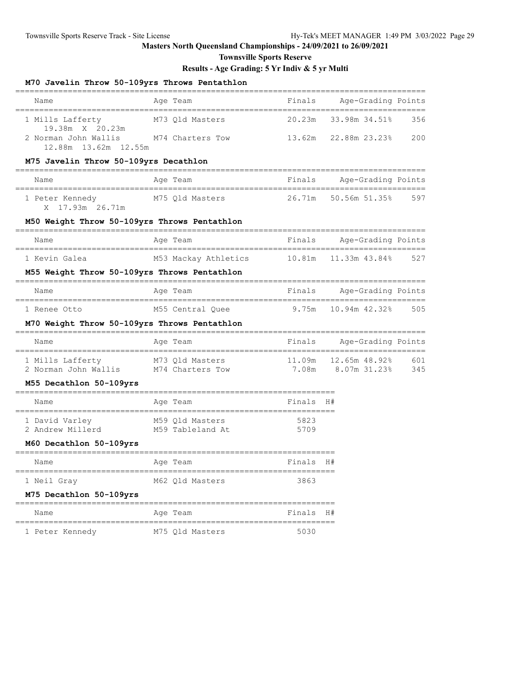**Townsville Sports Reserve**

# **Results - Age Grading: 5 Yr Indiv & 5 yr Multi**

## **M70 Javelin Throw 50-109yrs Throws Pentathlon**

| Name<br>======================                                            | -------------------------------<br>============================<br>Age Team<br>====================== | Finals            | Age-Grading Points                            |     |
|---------------------------------------------------------------------------|-------------------------------------------------------------------------------------------------------|-------------------|-----------------------------------------------|-----|
| 1 Mills Lafferty M73 Qld Masters                                          |                                                                                                       | 20.23m            | 33.98m 34.51%                                 | 356 |
| 19.38m X 20.23m<br>2 Norman John Wallis<br>12.88m 13.62m 12.55m           | M74 Charters Tow                                                                                      | 13.62m            | 22.88m 23.23%                                 | 200 |
| M75 Javelin Throw 50-109yrs Decathlon                                     |                                                                                                       |                   |                                               |     |
| Name                                                                      | Age Team                                                                                              |                   | Finals Age-Grading Points                     |     |
| 1 Peter Kennedy<br>X 17.93m 26.71m                                        | M75 Qld Masters                                                                                       | 26.71m            | 50.56m 51.35%                                 | 597 |
| M50 Weight Throw 50-109yrs Throws Pentathlon                              |                                                                                                       |                   |                                               |     |
| Name                                                                      | Age Team                                                                                              | Finals            | Age-Grading Points                            |     |
| 1 Kevin Galea                                                             | M53 Mackay Athletics 10.81m 11.33m 43.84%                                                             |                   | =======================                       | 527 |
| M55 Weight Throw 50-109yrs Throws Pentathlon                              |                                                                                                       |                   |                                               |     |
| Name                                                                      | Age Team                                                                                              | Finals            | Age-Grading Points                            |     |
| 1 Renee Otto                                                              | M55 Central Quee                                                                                      |                   | 9.75m    10.94m    42.32%                     | 505 |
| M70 Weight Throw 50-109yrs Throws Pentathlon                              |                                                                                                       |                   |                                               |     |
| Name                                                                      | Age Team                                                                                              | Finals            | Age-Grading Points<br>----------------------- |     |
| 1 Mills Lafferty M73 Qld Masters<br>2 Norman John Wallis M74 Charters Tow |                                                                                                       |                   | 11.09m  12.65m  48.92%                        | 601 |
| M55 Decathlon 50-109yrs                                                   |                                                                                                       |                   | 7.08m 8.07m 31.23%                            | 345 |
|                                                                           |                                                                                                       |                   |                                               |     |
| Name                                                                      | Age Team                                                                                              | Finals H#         |                                               |     |
| 1 David Varley<br>2 Andrew Millerd M59 Tableland At                       | M59 Qld Masters                                                                                       | 5823<br>5709      |                                               |     |
| M60 Decathlon 50-109yrs                                                   |                                                                                                       |                   |                                               |     |
| Name                                                                      | Age Team                                                                                              | Finals H#         |                                               |     |
| 1 Neil Gray                                                               | M62 Qld Masters                                                                                       | =========<br>3863 |                                               |     |
| M75 Decathlon 50-109yrs                                                   | =============                                                                                         |                   |                                               |     |
| Name                                                                      | Age Team                                                                                              | Finals            | H#                                            |     |
| ================<br>1 Peter Kennedy                                       | M75 Qld Masters                                                                                       | ---------<br>5030 |                                               |     |